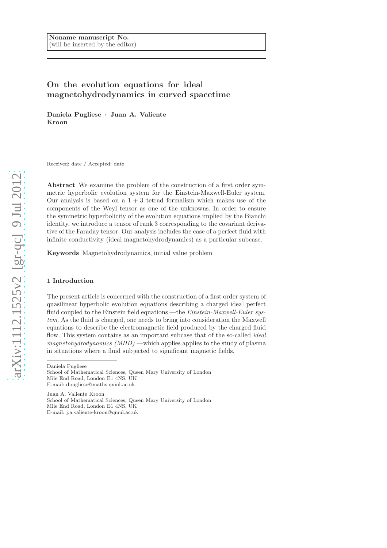# On the evolution equations for ideal magnetohydrodynamics in curved spacetime

Daniela Pugliese · Juan A. Valiente Kroon

Received: date / Accepted: date

Abstract We examine the problem of the construction of a first order symmetric hyperbolic evolution system for the Einstein-Maxwell-Euler system. Our analysis is based on a  $1 + 3$  tetrad formalism which makes use of the components of the Weyl tensor as one of the unknowns. In order to ensure the symmetric hyperbolicity of the evolution equations implied by the Bianchi identity, we introduce a tensor of rank 3 corresponding to the covariant derivative of the Faraday tensor. Our analysis includes the case of a perfect fluid with infinite conductivity (ideal magnetohydrodynamics) as a particular subcase.

Keywords Magnetohydrodynamics, initial value problem

### 1 Introduction

The present article is concerned with the construction of a first order system of quasilinear hyperbolic evolution equations describing a charged ideal perfect fluid coupled to the Einstein field equations —the *Einstein-Maxwell-Euler sys*tem. As the fluid is charged, one needs to bring into consideration the Maxwell equations to describe the electromagnetic field produced by the charged fluid flow. This system contains as an important subcase that of the so-called *ideal* magnetohydrodynamics  $(MHD)$ —which applies applies to the study of plasma in situations where a fluid subjected to significant magnetic fields.

Daniela Pugliese

Juan A. Valiente Kroon School of Mathematical Sciences, Queen Mary University of London Mile End Road, London E1 4NS, UK E-mail: j.a.valiente-kroon@qmul.ac.uk

School of Mathematical Sciences, Queen Mary University of London Mile End Road, London E1 4NS, UK E-mail: dpugliese@maths.qmul.ac.uk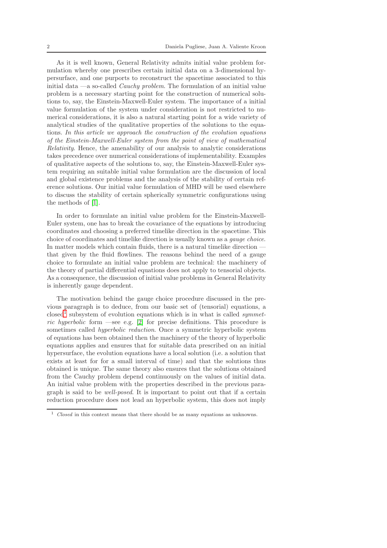As it is well known, General Relativity admits initial value problem formulation whereby one prescribes certain initial data on a 3-dimensional hypersurface, and one purports to reconstruct the spacetime associated to this initial data —a so-called Cauchy problem. The formulation of an initial value problem is a necessary starting point for the construction of numerical solutions to, say, the Einstein-Maxwell-Euler system. The importance of a initial value formulation of the system under consideration is not restricted to numerical considerations, it is also a natural starting point for a wide variety of analytical studies of the qualitative properties of the solutions to the equations. In this article we approach the construction of the evolution equations of the Einstein-Maxwell-Euler system from the point of view of mathematical Relativity. Hence, the amenability of our analysis to analytic considerations takes precedence over numerical considerations of implementability. Examples of qualitative aspects of the solutions to, say, the Einstein-Maxwell-Euler system requiring an suitable initial value formulation are the discussion of local and global existence problems and the analysis of the stability of certain reference solutions. Our initial value formulation of MHD will be used elsewhere to discuss the stability of certain spherically symmetric configurations using the methods of [\[1\]](#page-23-0).

In order to formulate an initial value problem for the Einstein-Maxwell-Euler system, one has to break the covariance of the equations by introducing coordinates and choosing a preferred timelike direction in the spacetime. This choice of coordinates and timelike direction is usually known as a gauge choice. In matter models which contain fluids, there is a natural timelike direction that given by the fluid flowlines. The reasons behind the need of a gauge choice to formulate an initial value problem are technical: the machinery of the theory of partial differential equations does not apply to tensorial objects. As a consequence, the discussion of initial value problems in General Relativity is inherently gauge dependent.

The motivation behind the gauge choice procedure discussed in the previous paragraph is to deduce, from our basic set of (tensorial) equations, a  $closed<sup>1</sup>$  $closed<sup>1</sup>$  $closed<sup>1</sup>$  subsystem of evolution equations which is in what is called *symmet*-ric hyperbolic form —see e.g. [\[2\]](#page-23-1) for precise definitions. This procedure is sometimes called *hyperbolic reduction*. Once a symmetric hyperbolic system of equations has been obtained then the machinery of the theory of hyperbolic equations applies and ensures that for suitable data prescribed on an initial hypersurface, the evolution equations have a local solution (i.e. a solution that exists at least for for a small interval of time) and that the solutions thus obtained is unique. The same theory also ensures that the solutions obtained from the Cauchy problem depend continuously on the values of initial data. An initial value problem with the properties described in the previous paragraph is said to be well-posed. It is important to point out that if a certain reduction procedure does not lead an hyperbolic system, this does not imply

<span id="page-1-0"></span>Closed in this context means that there should be as many equations as unknowns.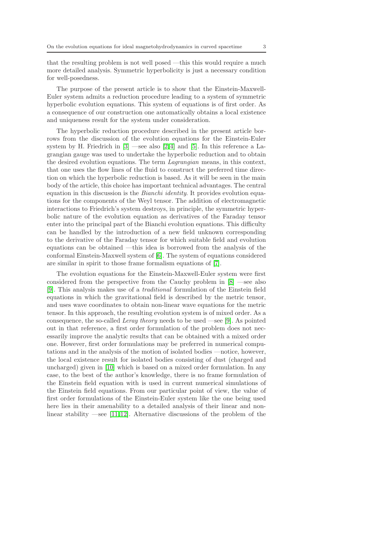that the resulting problem is not well posed —this this would require a much more detailed analysis. Symmetric hyperbolicity is just a necessary condition for well-posedness.

The purpose of the present article is to show that the Einstein-Maxwell-Euler system admits a reduction procedure leading to a system of symmetric hyperbolic evolution equations. This system of equations is of first order. As a consequence of our construction one automatically obtains a local existence and uniqueness result for the system under consideration.

The hyperbolic reduction procedure described in the present article borrows from the discussion of the evolution equations for the Einstein-Euler system by H. Friedrich in  $[3]$  —see also  $[2,4]$  $[2,4]$  and  $[5]$ . In this reference a Lagrangian gauge was used to undertake the hyperbolic reduction and to obtain the desired evolution equations. The term Lagrangian means, in this context, that one uses the flow lines of the fluid to construct the preferred time direction on which the hyperbolic reduction is based. As it will be seen in the main body of the article, this choice has important technical advantages. The central equation in this discussion is the *Bianchi identity*. It provides evolution equations for the components of the Weyl tensor. The addition of electromagnetic interactions to Friedrich's system destroys, in principle, the symmetric hyperbolic nature of the evolution equation as derivatives of the Faraday tensor enter into the principal part of the Bianchi evolution equations. This difficulty can be handled by the introduction of a new field unknown corresponding to the derivative of the Faraday tensor for which suitable field and evolution equations can be obtained —this idea is borrowed from the analysis of the conformal Einstein-Maxwell system of [\[6\]](#page-23-5). The system of equations considered are similar in spirit to those frame formalism equations of [\[7\]](#page-23-6).

The evolution equations for the Einstein-Maxwell-Euler system were first considered from the perspective from the Cauchy problem in [\[8\]](#page-23-7) —see also [\[9\]](#page-23-8). This analysis makes use of a traditional formulation of the Einstein field equations in which the gravitational field is described by the metric tensor, and uses wave coordinates to obtain non-linear wave equations for the metric tensor. In this approach, the resulting evolution system is of mixed order. As a consequence, the so-called Leray theory needs to be used —see [\[9\]](#page-23-8). As pointed out in that reference, a first order formulation of the problem does not necessarily improve the analytic results that can be obtained with a mixed order one. However, first order formulations may be preferred in numerical computations and in the analysis of the motion of isolated bodies —notice, however, the local existence result for isolated bodies consisting of dust (charged and uncharged) given in [\[10\]](#page-23-9) which is based on a mixed order formulation. In any case, to the best of the author's knowledge, there is no frame formulation of the Einstein field equation with is used in current numerical simulations of the Einstein field equations. From our particular point of view, the value of first order formulations of the Einstein-Euler system like the one being used here lies in their amenability to a detailed analysis of their linear and non-linear stability —see [\[11,](#page-23-10)[12\]](#page-23-11). Alternative discussions of the problem of the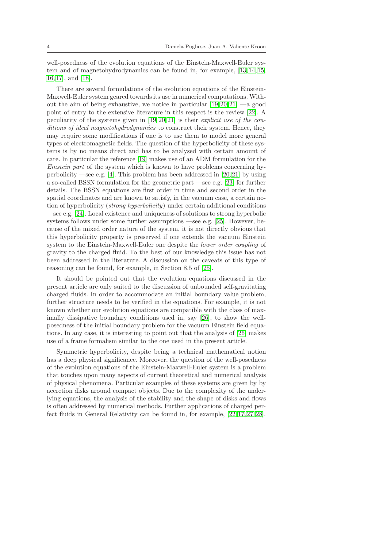well-posedness of the evolution equations of the Einstein-Maxwell-Euler system and of magnetohydrodynamics can be found in, for example, [\[13,](#page-23-12)[14,](#page-23-13)[15,](#page-23-14) [16,](#page-23-15)[17\]](#page-23-16), and [\[18\]](#page-23-17).

There are several formulations of the evolution equations of the Einstein-Maxwell-Euler system geared towards its use in numerical computations. Without the aim of being exhaustive, we notice in particular  $[19, 20, 21]$  $[19, 20, 21]$  $[19, 20, 21]$  $[19, 20, 21]$  —a good point of entry to the extensive literature in this respect is the review [\[22\]](#page-23-21). A peculiarity of the systems given in  $[19,20,21]$  $[19,20,21]$  $[19,20,21]$  is their *explicit use of the con*ditions of ideal magnetohydrodynamics to construct their system. Hence, they may require some modifications if one is to use them to model more general types of electromagnetic fields. The question of the hyperbolicity of these systems is by no means direct and has to be analysed with certain amount of care. In particular the reference [\[19\]](#page-23-18) makes use of an ADM formulation for the Einstein part of the system which is known to have problems concerning hyperbolicity —see e.g. [\[4\]](#page-23-3). This problem has been addressed in [\[20,](#page-23-19)[21\]](#page-23-20) by using a so-called BSSN formulation for the geometric part —see e.g. [\[23\]](#page-23-22) for further details. The BSSN equations are first order in time and second order in the spatial coordinates and are known to satisfy, in the vacuum case, a certain notion of hyperbolicity (strong hyperbolicity) under certain additional conditions —see e.g. [\[24\]](#page-24-0). Local existence and uniqueness of solutions to strong hyperbolic systems follows under some further assumptions —see e.g. [\[25\]](#page-24-1). However, because of the mixed order nature of the system, it is not directly obvious that this hyperbolicity property is preserved if one extends the vacuum Einstein system to the Einstein-Maxwell-Euler one despite the lower order coupling of gravity to the charged fluid. To the best of our knowledge this issue has not been addressed in the literature. A discussion on the caveats of this type of reasoning can be found, for example, in Section 8.5 of [\[25\]](#page-24-1).

It should be pointed out that the evolution equations discussed in the present article are only suited to the discussion of unbounded self-gravitating charged fluids. In order to accommodate an initial boundary value problem, further structure needs to be verified in the equations. For example, it is not known whether our evolution equations are compatible with the class of maximally dissipative boundary conditions used in, say [\[26\]](#page-24-2), to show the wellposedness of the initial boundary problem for the vacuum Einstein field equations. In any case, it is interesting to point out that the analysis of [\[26\]](#page-24-2) makes use of a frame formalism similar to the one used in the present article.

Symmetric hyperbolicity, despite being a technical mathematical notion has a deep physical significance. Moreover, the question of the well-posedness of the evolution equations of the Einstein-Maxwell-Euler system is a problem that touches upon many aspects of current theoretical and numerical analysis of physical phenomena. Particular examples of these systems are given by by accretion disks around compact objects. Due to the complexity of the underlying equations, the analysis of the stability and the shape of disks and flows is often addressed by numerical methods. Further applications of charged perfect fluids in General Relativity can be found in, for example, [\[22,](#page-23-21)[17,](#page-23-16)[27,](#page-24-3)[28\]](#page-24-4).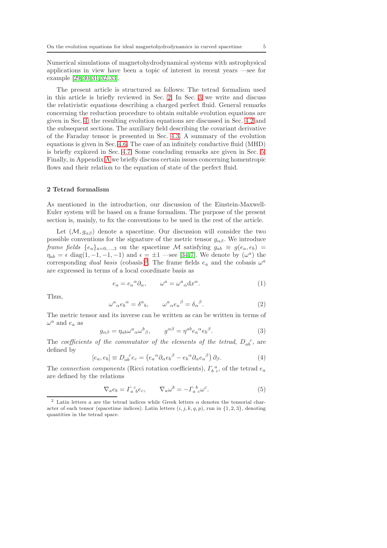Numerical simulations of magnetohydrodynamical systems with astrophysical applications in view have been a topic of interest in recent years —see for example [\[29,](#page-24-5)[30,](#page-24-6)[31,](#page-24-7)[32,](#page-24-8)[33\]](#page-24-9).

The present article is structured as follows: The tetrad formalism used in this article is briefly reviewed in Sec. [2.](#page-4-0) In Sec. [3](#page-6-0) we write and discuss the relativistic equations describing a charged perfect fluid. General remarks concerning the reduction procedure to obtain suitable evolution equations are given in Sec. [4;](#page-11-0) the resulting evolution equations are discussed in Sec. [4.2](#page-12-0) and the subsequent sections. The auxiliary field describing the covariant derivative of the Faraday tensor is presented in Sec. [4.3.](#page-14-0) A summary of the evolution equations is given in Sec. [4.6.](#page-19-0) The case of an infinitely conductive fluid (MHD) is briefly explored in Sec. [4.7.](#page-21-0) Some concluding remarks are given in Sec. [5.](#page-21-1) Finally, in Appendix [A](#page-22-0) we briefly discuss certain issues concerning homentropic flows and their relation to the equation of state of the perfect fluid.

#### <span id="page-4-0"></span>2 Tetrad formalism

As mentioned in the introduction, our discussion of the Einstein-Maxwell-Euler system will be based on a frame formalism. The purpose of the present section is, mainly, to fix the conventions to be used in the rest of the article.

Let  $(M, g_{\alpha\beta})$  denote a spacetime. Our discussion will consider the two possible conventions for the signature of the metric tensor  $g_{\alpha\beta}$ . We introduce frame fields  $\{e_a\}_{a=0,...,3}$  on the spacetime M satisfying  $g_{ab} \equiv g(e_a, e_b)$  $\eta_{ab} = \epsilon \text{ diag}(1, -1, -1, -1)$  and  $\epsilon = \pm 1$  —see [\[34,](#page-24-10)[7\]](#page-23-6). We denote by  $(\omega^a)$  the corresponding *dual basis* (cobasis)<sup>[2](#page-4-1)</sup>. The frame fields  $e_a$  and the cobasis  $\omega^a$ are expressed in terms of a local coordinate basis as

$$
e_a = e_a{}^{\alpha} \partial_{\alpha}, \qquad \omega^a = \omega^a{}_{\alpha} dx^{\alpha}.
$$
 (1)

Thus,

$$
\omega^a{}_{\alpha}e_b{}^{\alpha} = \delta^a{}_b, \qquad \omega^a{}_{\alpha}e_a{}^{\beta} = \delta_{\alpha}{}^{\beta}.
$$
 (2)

The metric tensor and its inverse can be written as can be written in terms of  $\omega^a$  and  $e_a$  as

$$
g_{\alpha\beta} = \eta_{ab}\omega^a{}_{\alpha}\omega^b{}_{\beta}, \qquad g^{\alpha\beta} = \eta^{ab}e_a{}^{\alpha}e_b{}^{\beta}.
$$
 (3)

The coefficients of the commutator of the elements of the tetrad,  $D_{ab}^c$ , are defined by

<span id="page-4-2"></span>
$$
[e_a, e_b] \equiv D_{ab}^{\ \ c} e_c = \left( e_a^{\ \alpha} \partial_\alpha e_b^{\ \beta} - e_b^{\ \alpha} \partial_\alpha e_a^{\ \beta} \right) \partial_\beta. \tag{4}
$$

The connection components (Ricci rotation coefficients),  $\Gamma_b^a{}_c$ , of the tetrad  $e_a$ are defined by the relations

$$
\nabla_a e_b = \Gamma_a^c{}_b e_c, \qquad \nabla_a \omega^b = -\Gamma_a^b{}_c \omega^c. \tag{5}
$$

<span id="page-4-1"></span><sup>&</sup>lt;sup>2</sup> Latin letters  $a$  are the tetrad indices while Greek letters  $\alpha$  denotes the tensorial character of each tensor (spacetime indices). Latin letters  $(i, j, k, q, p)$ , run in  $\{1, 2, 3\}$ , denoting quantities in the tetrad space.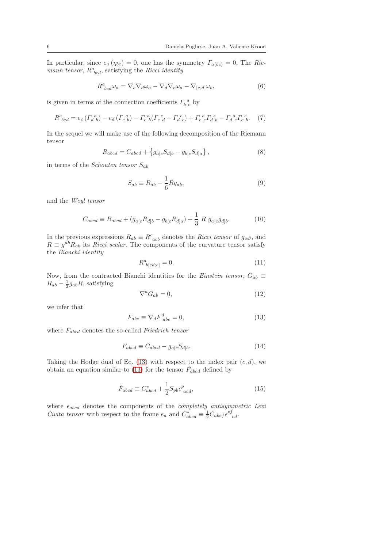In particular, since  $e_a(\eta_{bc}) = 0$ , one has the symmetry  $\Gamma_{a(bc)} = 0$ . The Riemann tensor,  $R^a_{bcd}$ , satisfying the Ricci identity

$$
R^{a}_{\;bcd}\omega_{a} = \nabla_{c}\nabla_{d}\omega_{a} - \nabla_{d}\nabla_{c}\omega_{a} - \nabla_{[c,d]}\omega_{b},\tag{6}
$$

is given in terms of the connection coefficients  $\varGamma_b^{\ a}_{\ c}$  by

<span id="page-5-4"></span>
$$
R^{a}_{bcd} = e_c \left( \Gamma_{d\;b}^{a} \right) - e_d \left( \Gamma_{c\;b}^{a} \right) - \Gamma_{e\;b}^{a} \left( \Gamma_{c\;d}^{e} - \Gamma_{d\;c}^{e} \right) + \Gamma_{c\;e}^{a} \Gamma_{d\;b}^{e} - \Gamma_{d\;e}^{a} \Gamma_{c\;b}^{e}.
$$
 (7)

In the sequel we will make use of the following decomposition of the Riemann tensor

<span id="page-5-3"></span>
$$
R_{abcd} = C_{abcd} + \{g_{a[c}S_{d]b} - g_{b[c}S_{d]a}\},
$$
\n(8)

in terms of the Schouten tensor  $S_{ab}$ 

<span id="page-5-2"></span>
$$
S_{ab} \equiv R_{ab} - \frac{1}{6} R g_{ab},\tag{9}
$$

and the Weyl tensor

$$
C_{abcd} \equiv R_{abcd} + (g_{a[c}R_{d]b} - g_{b[c}R_{d]a}) + \frac{1}{3} R g_{a[c}g_{d]b}.
$$
 (10)

In the previous expressions  $R_{ab} \equiv R^c_{acb}$  denotes the *Ricci tensor* of  $g_{\alpha\beta}$ , and  $R \equiv g^{ab} R_{ab}$  its *Ricci scalar*. The components of the curvature tensor satisfy the Bianchi identity

$$
R^a_{\ b[cd;e]} = 0.\tag{11}
$$

Now, from the contracted Bianchi identities for the *Einstein tensor*,  $G_{ab} \equiv$  $R_{ab} - \frac{1}{2}g_{ab}R$ , satisfying

$$
\nabla^a G_{ab} = 0,\t\t(12)
$$

we infer that

<span id="page-5-0"></span>
$$
F_{abc} \equiv \nabla_d F_{abc}^d = 0,\tag{13}
$$

where  $F_{abcd}$  denotes the so-called Friedrich tensor

<span id="page-5-1"></span>
$$
F_{abcd} \equiv C_{abcd} - g_{a[c} S_{d]b}.
$$
\n(14)

Taking the Hodge dual of Eq. [\(13\)](#page-5-0) with respect to the index pair  $(c, d)$ , we obtain an equation similar to [\(13\)](#page-5-0) for the tensor  $\tilde{F}_{abcd}$  defined by

$$
\tilde{F}_{abcd} \equiv C_{abcd}^* + \frac{1}{2} S_{pb} \epsilon_{acd}^p,\tag{15}
$$

where  $\epsilon_{abcd}$  denotes the components of the *completely antisymmetric Levi Civita tensor* with respect to the frame  $e_a$  and  $C_{abcd}^* \equiv \frac{1}{2} C_{abef} \epsilon_{cd}^{ef}$ .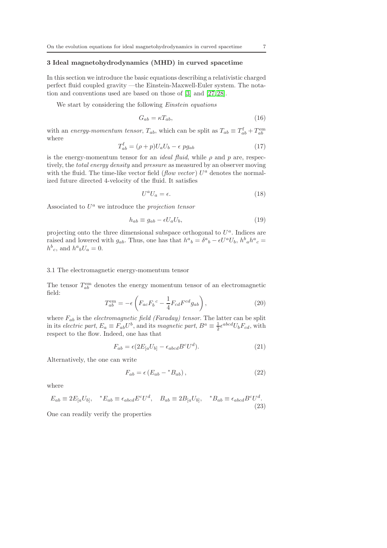#### <span id="page-6-0"></span>3 Ideal magnetohydrodynamics (MHD) in curved spacetime

In this section we introduce the basic equations describing a relativistic charged perfect fluid coupled gravity —the Einstein-Maxwell-Euler system. The notation and conventions used are based on those of [\[3\]](#page-23-2) and [\[27,](#page-24-3)[28\]](#page-24-4).

We start by considering the following *Einstein equations* 

$$
G_{ab} = \kappa T_{ab},\tag{16}
$$

with an energy-momentum tensor,  $T_{ab}$ , which can be split as  $T_{ab} \equiv T_{ab}^{\text{f}} + T_{ab}^{\text{em}}$ where

<span id="page-6-3"></span>
$$
T_{ab}^{\text{f}} = (\rho + p)U_a U_b - \epsilon \, p g_{ab} \tag{17}
$$

is the energy-momentum tensor for an *ideal fluid*, while  $\rho$  and  $p$  are, respectively, the total energy density and pressure as measured by an observer moving with the fluid. The time-like vector field ( $flow\ vector$ )  $U^a$  denotes the normalized future directed 4-velocity of the fluid. It satisfies

<span id="page-6-4"></span>
$$
U^a U_a = \epsilon. \tag{18}
$$

Associated to  $U^a$  we introduce the *projection tensor* 

$$
h_{ab} \equiv g_{ab} - \epsilon U_a U_b,\tag{19}
$$

projecting onto the three dimensional subspace orthogonal to  $U^a$ . Indices are raised and lowered with  $g_{ab}$ . Thus, one has that  $h^a{}_b = \delta^a{}_b - \epsilon U^a U_b$ ,  $h^b{}_a h^a{}_c =$  $h^b{}_c$ , and  $h^a{}_bU_a=0$ .

#### 3.1 The electromagnetic energy-momentum tensor

The tensor  $T_{ab}^{\text{em}}$  denotes the energy momentum tensor of an electromagnetic field:

<span id="page-6-1"></span>
$$
T_{ab}^{\text{em}} = -\epsilon \left( F_{ac} F_b{}^c - \frac{1}{4} F_{cd} F^{cd} g_{ab} \right), \qquad (20)
$$

where  $F_{ab}$  is the *electromagnetic field (Faraday)* tensor. The latter can be split in its *electric part*,  $E_a \equiv F_{ab}U^b$ , and its *magnetic part*,  $B^a \equiv \frac{1}{2} \epsilon^{abcd} U_b F_{cd}$ , with respect to the flow. Indeed, one has that

$$
F_{ab} = \epsilon (2E_{[a}U_{b]} - \epsilon_{abcd}B^c U^d). \tag{21}
$$

Alternatively, the one can write

<span id="page-6-2"></span>
$$
F_{ab} = \epsilon \left( E_{ab} - {}^*B_{ab} \right), \tag{22}
$$

where

$$
E_{ab} \equiv 2E_{[a}U_{b]}, \quad {}^*E_{ab} \equiv \epsilon_{abcd} E^c U^d, \quad B_{ab} \equiv 2B_{[a}U_{b]}, \quad {}^*B_{ab} \equiv \epsilon_{abcd} B^c U^d.
$$
\n(23)

One can readily verify the properties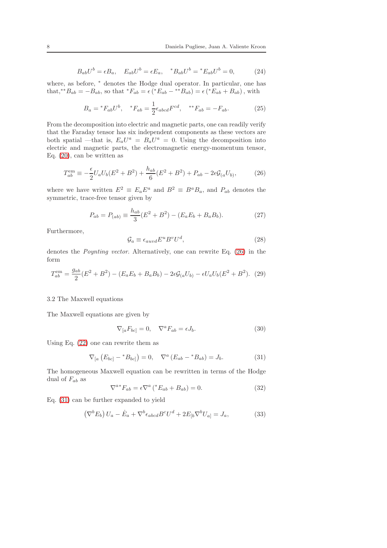$$
B_{ab}U^{b} = \epsilon B_{a}, \quad E_{ab}U^{b} = \epsilon E_{a}, \quad {}^{*}B_{ab}U^{b} = {}^{*}E_{ab}U^{b} = 0, \tag{24}
$$

where, as before,  $*$  denotes the Hodge dual operator. In particular, one has that,<sup>\*\*</sup> $B_{ab} = -B_{ab}$ , so that  ${}^*F_{ab} = \epsilon ({}^*E_{ab} - {}^{**}B_{ab}) = \epsilon ({}^*E_{ab} + B_{ab})$ , with

$$
B_a = {}^*F_{ab}U^b, \quad {}^*F_{ab} = \frac{1}{2} \epsilon_{abcd} F^{cd}, \quad {}^{**}F_{ab} = -F_{ab}.
$$
 (25)

From the decomposition into electric and magnetic parts, one can readily verify that the Faraday tensor has six independent components as these vectors are both spatial —that is,  $E_a U^a = B_a U^a = 0$ . Using the decomposition into electric and magnetic parts, the electromagnetic energy-momentum tensor, Eq. [\(20\)](#page-6-1), can be written as

<span id="page-7-0"></span>
$$
T_{ab}^{\text{em}} \equiv -\frac{\epsilon}{2} U_a U_b (E^2 + B^2) + \frac{h_{ab}}{6} (E^2 + B^2) + P_{ab} - 2\epsilon \mathcal{G}_{(a} U_{b)},\tag{26}
$$

where we have written  $E^2 \equiv E_a E^a$  and  $B^2 \equiv B^a B_a$ , and  $P_{ab}$  denotes the symmetric, trace-free tensor given by

$$
P_{ab} = P_{(ab)} \equiv \frac{h_{ab}}{3} (E^2 + B^2) - (E_a E_b + B_a B_b).
$$
 (27)

Furthermore,

$$
\mathcal{G}_a \equiv \epsilon_{auvd} E^u B^v U^d,\tag{28}
$$

denotes the Poynting vector. Alternatively, one can rewrite Eq. [\(26\)](#page-7-0) in the form

$$
T_{ab}^{\text{em}} = \frac{g_{ab}}{2}(E^2 + B^2) - (E_a E_b + B_a B_b) - 2\epsilon \mathcal{G}_{(a} U_{b)} - \epsilon U_a U_b (E^2 + B^2). \tag{29}
$$

#### 3.2 The Maxwell equations

The Maxwell equations are given by

<span id="page-7-4"></span>
$$
\nabla_{[a}F_{bc]} = 0, \quad \nabla^a F_{ab} = \epsilon J_b. \tag{30}
$$

Using Eq. [\(22\)](#page-6-2) one can rewrite them as

<span id="page-7-1"></span>
$$
\nabla_{[a} (E_{bc}] - {}^{*}B_{bc}]) = 0, \quad \nabla^{a} (E_{ab} - {}^{*}B_{ab}) = J_{b}.
$$
 (31)

The homogeneous Maxwell equation can be rewritten in terms of the Hodge dual of  $F_{ab}$  as

<span id="page-7-2"></span>
$$
\nabla^{a*} F_{ab} = \epsilon \nabla^a \left( {}^* E_{ab} + B_{ab} \right) = 0. \tag{32}
$$

Eq. [\(31\)](#page-7-1) can be further expanded to yield

<span id="page-7-3"></span>
$$
\left(\nabla^b E_b\right) U_a - \dot{E}_a + \nabla^b \epsilon_{abcd} B^c U^d + 2E_{[b} \nabla^b U_{a]} = J_a,\tag{33}
$$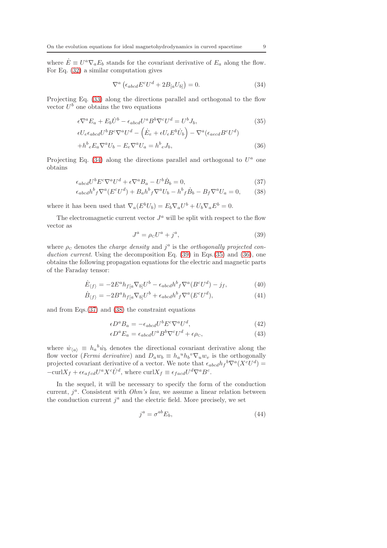where  $\dot{E} \equiv U^a \nabla_a E_b$  stands for the covariant derivative of  $E_a$  along the flow. For Eq. [\(32\)](#page-7-2) a similar computation gives

<span id="page-8-0"></span>
$$
\nabla^{a} \left( \epsilon_{abcd} E^{c} U^{d} + 2B_{[a} U_{b]} \right) = 0. \tag{34}
$$

Projecting Eq. [\(33\)](#page-7-3) along the directions parallel and orthogonal to the flow vector  $U^b$  one obtains the two equations

<span id="page-8-2"></span>
$$
\epsilon \nabla^a E_a + E_b \dot{U}^b - \epsilon_{abcd} U^a B^b \nabla^c U^d = U^b J_b,\tag{35}
$$

$$
\epsilon U_e \epsilon_{abcd} U^b B^c \nabla^a U^d - (\dot{E}_e + \epsilon U_e E^b \dot{U}_b) - \nabla^a (\epsilon_{aecd} B^c U^d) + h^b{}_e E_a \nabla^a U_b - E_e \nabla^a U_a = h^b{}_e J_b,
$$
\n(36)

Projecting Eq.  $(34)$  along the directions parallel and orthogonal to  $U^a$  one obtains

<span id="page-8-3"></span>
$$
\epsilon_{abcd}U^b E^c \nabla^a U^d + \epsilon \nabla^a B_a - U^b \dot{B}_b = 0, \tag{37}
$$

$$
\epsilon_{abcd}h^b{}_f \nabla^a (E^c U^d) + B_a h^b{}_f \nabla^a U_b - h^b{}_f \dot{B}_b - B_f \nabla^a U_a = 0,\tag{38}
$$

where it has been used that  $\nabla_a (E^b U_b) = E_b \nabla_a U^b + U_b \nabla_a E^b = 0.$ 

The electromagnetic current vector  $J^a$  will be split with respect to the flow vector as

<span id="page-8-1"></span>
$$
J^a = \rho_c U^a + j^a,\tag{39}
$$

where  $\rho_c$  denotes the *charge density* and  $j^a$  is the *orthogonally projected con*duction current. Using the decomposition Eq.  $(39)$  in Eqs. $(35)$  and  $(36)$ , one obtains the following propagation equations for the electric and magnetic parts of the Faraday tensor:

<span id="page-8-4"></span>
$$
\dot{E}_{\langle f \rangle} = -2E^a h_{f[a} \nabla_{b]} U^b - \epsilon_{abcd} h^b{}_f \nabla^a (B^c U^d) - j_f, \tag{40}
$$

$$
\dot{B}_{\langle f \rangle} = -2B^a h_{f[a} \nabla_{b]} U^b + \epsilon_{abcd} h^b_{f} \nabla^a (E^c U^d), \tag{41}
$$

and from Eqs.[\(37\)](#page-8-3) and [\(38\)](#page-8-3) the constraint equations

$$
\epsilon D^a B_a = -\epsilon_{abcd} U^b E^c \nabla^a U^d,\tag{42}
$$

$$
\epsilon D^a E_a = \epsilon_{abcd} U^a B^b \nabla^c U^d + \epsilon \rho_c,\tag{43}
$$

where  $\dot{w}_{\langle a \rangle} \equiv h_a^b \dot{w}_b$  denotes the directional covariant derivative along the flow vector (*Fermi derivative*) and  $D_a w_b \equiv h_a^{\mu} h_b^{\nu} \nabla_u w_v$  is the orthogonally projected covariant derivative of a vector. We note that  $\epsilon_{abcd} h_f{}^b \nabla^a (X^c U^d) =$  $-\text{curl}X_f + \epsilon \epsilon_{afcd} U^a X^c \dot{U}^d$ , where  $\text{curl}X_f \equiv \epsilon_{facd} U^d \nabla^a B^c$ .

In the sequel, it will be necessary to specify the form of the conduction current,  $j^a$ . Consistent with *Ohm's law*, we assume a linear relation between the conduction current  $j^a$  and the electric field. More precisely, we set

$$
j^a = \sigma^{ab} E_b,\tag{44}
$$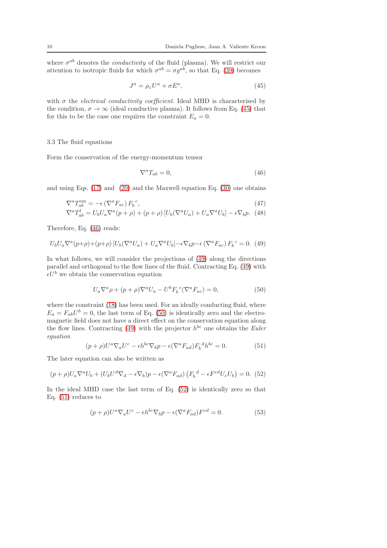where  $\sigma^{ab}$  denotes the *conductivity* of the fluid (plasma). We will restrict our attention to isotropic fluids for which  $\sigma^{ab} = \sigma g^{ab}$ , so that Eq. [\(39\)](#page-8-1) becomes

<span id="page-9-0"></span>
$$
J^a = \rho_c U^a + \sigma E^a,\tag{45}
$$

with  $\sigma$  the *electrical conductivity coefficient*. Ideal MHD is characterised by the condition,  $\sigma \to \infty$  (ideal conductive plasma). It follows from Eq. [\(45\)](#page-9-0) that for this to be the case one requires the constraint  $E_a = 0$ .

#### 3.3 The fluid equations

Form the conservation of the energy-momentum tensor

<span id="page-9-1"></span>
$$
\nabla^a T_{ab} = 0,\t\t(46)
$$

and using Eqs. [\(17\)](#page-6-3) and [\(20\)](#page-6-1) and the Maxwell equation Eq. [\(30\)](#page-7-4) one obtains

$$
\nabla^a T_{ab}^{\text{em}} = -\epsilon \left( \nabla^a F_{ac} \right) F_b^c,\tag{47}
$$

$$
\nabla^a T_{ab}^{\mathbf{f}} = U_b U_a \nabla^a (p + \rho) + (p + \rho) \left[ U_b (\nabla^a U_a) + U_a \nabla^a U_b \right] - \epsilon \nabla_b p. \tag{48}
$$

Therefore, Eq. [\(46\)](#page-9-1) reads:

<span id="page-9-2"></span>
$$
U_b U_a \nabla^a (p+\rho) + (p+\rho) \left[ U_b (\nabla^a U_a) + U_a \nabla^a U_b \right] - \epsilon \nabla_b p - \epsilon \left( \nabla^a F_{ac} \right) F_b^{\ c} = 0. \tag{49}
$$

In what follows, we will consider the projections of [\(49\)](#page-9-2) along the directions parallel and orthogonal to the flow lines of the fluid. Contracting Eq. [\(49\)](#page-9-2) with  $\epsilon U^b$  we obtain the conservation equation

<span id="page-9-3"></span>
$$
U_a \nabla^a \rho + (p+\rho) \nabla^a U_a - U^b F_b{}^c (\nabla^a F_{ac}) = 0,
$$
\n(50)

where the constraint [\(18\)](#page-6-4) has been used. For an ideally conducting fluid, where  $E_a = F_{ab}U^b = 0$ , the last term of Eq. [\(50\)](#page-9-3) is identically zero and the electromagnetic field does not have a direct effect on the conservation equation along the flow lines. Contracting [\(49\)](#page-9-2) with the projector  $h^{bc}$  one obtains the *Euler* equation

<span id="page-9-5"></span>
$$
(p+\rho)U^a \nabla_a U^c - \epsilon h^{bc} \nabla_b p - \epsilon (\nabla^a F_{ad}) F_b{}^d h^{bc} = 0.
$$
 (51)

The later equation can also be written as

<span id="page-9-4"></span>
$$
(p+\rho)U_a\nabla^a U_b + (U_b U^d \nabla_d - \epsilon \nabla_b)p - \epsilon (\nabla^a F_{ad}) (F_b^d - \epsilon F^{ed} U_e U_b) = 0. \tag{52}
$$

In the ideal MHD case the last term of Eq.  $(52)$  is identically zero so that Eq. [\(51\)](#page-9-5) reduces to

$$
(p+\rho)U^{a}\nabla_{a}U^{c}-\epsilon h^{bc}\nabla_{b}p-\epsilon(\nabla^{a}F_{ad})F^{cd}=0.
$$
\n(53)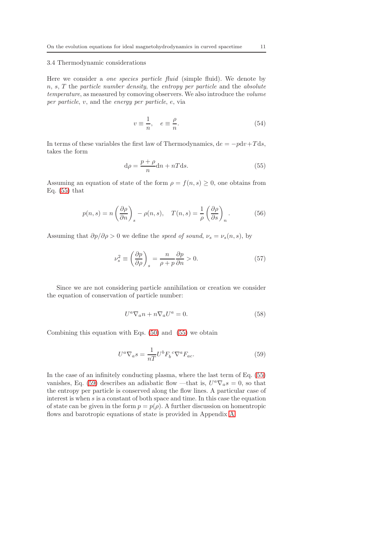#### 3.4 Thermodynamic considerations

Here we consider a *one species particle fluid* (simple fluid). We denote by  $n, s, T$  the particle number density, the entropy per particle and the absolute temperature, as measured by comoving observers. We also introduce the volume per particle, v, and the energy per particle, e, via

$$
v \equiv \frac{1}{n}, \quad e \equiv \frac{\rho}{n}.
$$
\n(54)

In terms of these variables the first law of Thermodynamics,  $de = -pdv + T ds$ , takes the form

<span id="page-10-0"></span>
$$
d\rho = \frac{p+\rho}{n}dn + nTds.
$$
\n(55)

Assuming an equation of state of the form  $\rho = f(n, s) \geq 0$ , one obtains from Eq.  $(55)$  that

<span id="page-10-2"></span>
$$
p(n,s) = n \left(\frac{\partial \rho}{\partial n}\right)_s - \rho(n,s), \quad T(n,s) = \frac{1}{\rho} \left(\frac{\partial \rho}{\partial s}\right)_n.
$$
 (56)

Assuming that  $\partial p/\partial \rho > 0$  we define the speed of sound,  $\nu_s = \nu_s(n, s)$ , by

$$
\nu_s^2 \equiv \left(\frac{\partial p}{\partial \rho}\right)_s = \frac{n}{\rho + p} \frac{\partial p}{\partial n} > 0.
$$
 (57)

Since we are not considering particle annihilation or creation we consider the equation of conservation of particle number:

<span id="page-10-3"></span>
$$
U^a \nabla_a n + n \nabla_a U^a = 0.
$$
 (58)

Combining this equation with Eqs. [\(50\)](#page-9-3) and [\(55\)](#page-10-0) we obtain

<span id="page-10-1"></span>
$$
U^a \nabla_a s = \frac{1}{nT} U^b F_b^c \nabla^a F_{ac}.
$$
\n(59)

In the case of an infinitely conducting plasma, where the last term of Eq. [\(55\)](#page-10-0) vanishes, Eq. [\(59\)](#page-10-1) describes an adiabatic flow —that is,  $U^a \nabla_a s = 0$ , so that the entropy per particle is conserved along the flow lines. A particular case of interest is when s is a constant of both space and time. In this case the equation of state can be given in the form  $p = p(\rho)$ . A further discussion on homentropic flows and barotropic equations of state is provided in Appendix [A.](#page-22-0)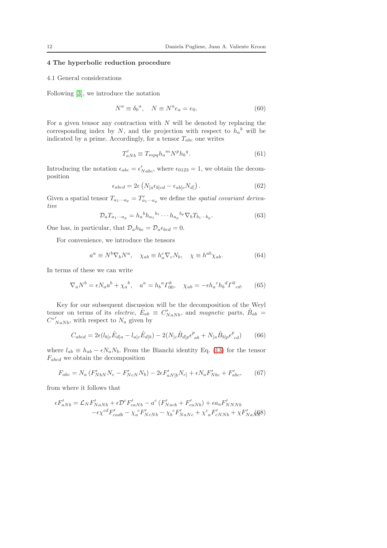## <span id="page-11-0"></span>4 The hyperbolic reduction procedure

#### 4.1 General considerations

Following [\[3\]](#page-23-2), we introduce the notation

$$
N^a \equiv \delta_0{}^a, \quad N \equiv N^a e_a = e_0. \tag{60}
$$

For a given tensor any contraction with  $N$  will be denoted by replacing the corresponding index by N, and the projection with respect to  $h_a{}^b$  will be indicated by a prime. Accordingly, for a tensor  $T_{abc}$  one writes

$$
T'_{aNb} \equiv T_{mpq}h_a{}^m N^p h_b{}^q. \tag{61}
$$

Introducing the notation  $\epsilon_{abc} = \epsilon'_{Nabc}$ , where  $\epsilon_{0123} = 1$ , we obtain the decomposition

$$
\epsilon_{abcd} = 2\epsilon \left( N_{[a} \epsilon_{b]cd} - \epsilon_{ab[c} N_{d]} \right). \tag{62}
$$

Given a spatial tensor  $T_{a_1\cdots a_p} = T'_{a_1\cdots a_p}$  we define the spatial covariant derivative

$$
\mathcal{D}_a T_{a_1 \cdots a_p} = h_a{}^b h_{a_1}{}^{b_1} \cdots h_{a_p}{}^{b_p} \nabla_b T_{b_1 \cdots b_p}.
$$
\n(63)

One has, in particular, that  $\mathcal{D}_a h_{bc} = \mathcal{D}_a \epsilon_{bcd} = 0$ .

For convenience, we introduce the tensors

<span id="page-11-3"></span>
$$
a^a \equiv N^b \nabla_b N^a, \quad \chi_{ab} \equiv h_a^c \nabla_c N_b, \quad \chi \equiv h^{ab} \chi_{ab}.
$$
 (64)

In terms of these we can write

$$
\nabla_a N^b = \epsilon N_a a^b + \chi_a^b, \quad a^a = h_b{}^a T^b_{00}, \quad \chi_{ab} = -\epsilon h_a{}^c h_b{}^d T^0_{\phantom{0}cd}.
$$
 (65)

Key for our subsequent discussion will be the decomposition of the Weyl tensor on terms of its *electric*,  $\hat{E}_{ab} \equiv C'_{NaNb}$ , and *magnetic* parts,  $\hat{B}_{ab} =$  $C^*'_{NaNb}$ , with respect to  $N_a$  given by

<span id="page-11-1"></span>
$$
C_{abcd} = 2\epsilon (l_{b[c}\hat{E}_{d]a} - l_{a[c}\hat{E}_{d]b}) - 2(N_{[c}\hat{B}_{d]p}\epsilon_{ab}^{p} + N_{[a}\hat{B}_{b]p}\epsilon_{cd}^{p})
$$
(66)

where  $l_{ab} \equiv h_{ab} - \epsilon N_a N_b$ . From the Bianchi identity Eq. [\(13\)](#page-5-0) for the tensor  $F_{abcd}$  we obtain the decomposition

$$
F_{abc} = N_a (F'_{NbN} N_c - F'_{NcN} N_b) - 2\epsilon F'_{aN[b} N_{c]} + \epsilon N_a F'_{Nbc} + F'_{abc},
$$
 (67)

from where it follows that

<span id="page-11-2"></span>
$$
\epsilon F'_{aNb} = \mathcal{L}_N F'_{NaNb} + \epsilon \mathcal{D}^c F'_{caNb} - a^c (F'_{Nacb} + F'_{caNb}) + \epsilon a_a F'_{NNNb} \n- \epsilon \chi^{cd} F'_{cadb} - \chi_a^c F'_{NCNb} - \chi_b^c F'_{NaNc} + \chi^c{}_a F'_{cNNb} + \chi F'_{Na} \sqrt{68})
$$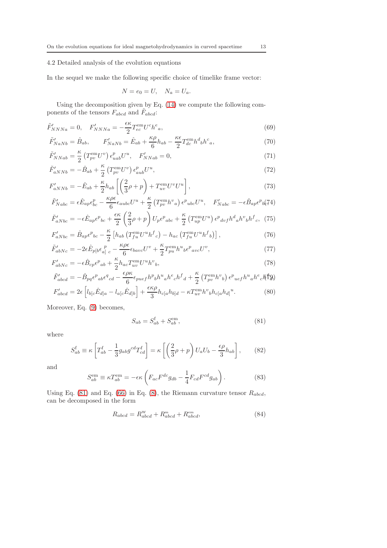## <span id="page-12-0"></span>4.2 Detailed analysis of the evolution equations

In the sequel we make the following specific choice of timelike frame vector:

$$
N = e_0 = U, \quad N_a = U_a.
$$

Using the decomposition given by Eq. [\(14\)](#page-5-1) we compute the following components of the tensors  $F_{abcd}$  and  $\tilde{F}_{abcd}$ :

$$
\tilde{F}_{NNNa}' = 0, \quad F_{NNNa}' = -\frac{\epsilon \kappa}{2} T_{ec}^{\text{em}} U^c h^e{}_a,\tag{69}
$$

$$
\tilde{F}_{NaNb}' = \hat{B}_{ab}, \qquad F_{NaNb}' = \hat{E}_{ab} + \frac{\kappa \rho}{6} h_{ab} - \frac{\kappa \epsilon}{2} T_{dc}^{\text{em}} h^d{}_b h^c{}_a,\tag{70}
$$

$$
\tilde{F}_{NNab}' = \frac{\kappa}{2} \left( T_{pv}^{\text{em}} U^v \right) \epsilon_{uab}^p U^u, \quad F_{NNab}' = 0,\tag{71}
$$

$$
\tilde{F}'_{aNNb} = -\hat{B}_{ab} + \frac{\kappa}{2} \left( T_{pv}^{\text{em}} U^v \right) \epsilon_{aub}^p U^u, \tag{72}
$$

$$
F'_{aNNb} = -\hat{E}_{ab} + \frac{\kappa}{2}h_{ab}\left[\left(\frac{2}{3}\rho + p\right) + T_{uv}^{\text{em}}U^{\nu}U^{u}\right],\tag{73}
$$

$$
\tilde{F}_{Nabc}' = \epsilon \hat{E}_{ap} \epsilon_{bc}^p - \frac{\kappa \rho \epsilon}{6} \epsilon_{aubc} U^u + \frac{\kappa}{2} \left( T_{pv}^{\text{em}} h^v{}_a \right) \epsilon^p{}_{ubc} U^u, \quad F'_{Nabc} = -\epsilon \hat{B}_{ap} \epsilon^p{}_{b} (74)
$$

$$
\tilde{F}_{aNbc}' = -\epsilon \hat{E}_{ap}\epsilon^p{}_{bc} + \frac{\epsilon \kappa}{2} \left(\frac{2}{3}\rho + p\right) U_p \epsilon^p{}_{abc} + \frac{\kappa}{2} \left(T_{up}^{\text{em}} U^u\right) \epsilon^p{}_{dvf} h^d{}_{a} h^v{}_{b} h^f{}_{c}, \tag{75}
$$

$$
F'_{aNbc} = \hat{B}_{ap}\epsilon^p{}_{bc} - \frac{\kappa}{2} \left[ h_{ab} \left( T^{\text{em}}_{fu} U^u h^f{}_c \right) - h_{ac} \left( T^{\text{em}}_{fu} U^u h^f{}_b \right) \right],\tag{76}
$$

$$
\tilde{F}_{abNc}^{'} = -2\epsilon \hat{E}_{p[b}\epsilon_{a]}^{p}{}_{c} - \frac{\kappa \rho \epsilon}{6} \epsilon_{bavc} U^{v} + \frac{\kappa}{2} T_{pu}^{em} h^{u}{}_{b}\epsilon^{p}{}_{avc} U^{v},\tag{77}
$$

$$
F'_{abNc} = -\epsilon \hat{B}_{cp}\epsilon^p{}_{ab} + \frac{\kappa}{2}h_{ac}T_{uv}^{\text{em}}U^u h^v{}_b,\tag{78}
$$

$$
\tilde{F}_{abcd}' = -\hat{B}_{pq}\epsilon^{p}{}_{ab}\epsilon^{q}{}_{cd} - \frac{\epsilon\rho\kappa}{6}\epsilon_{puef}h^{p}{}_{b}h^{u}{}_{a}h^{e}{}_{c}h^{f}{}_{d} + \frac{\kappa}{2}\left(T_{pv}^{\text{em}}h^{v}{}_{b}\right)\epsilon^{p}{}_{uef}h^{u}{}_{a}h^{e}{}_{c}h^{e}h^{q}{}_{d}
$$
\n
$$
F'_{ab} = \frac{\kappa\kappa\rho}{2} \left[1 + \frac{\kappa\kappa\rho}{2}h^{u}{}_{a}h^{u}{}_{b}h^{u}{}_{d}h^{e}{}_{c}h^{e}h^{q}{}_{d}\right]
$$
\n
$$
\tilde{F}_{ab} = \frac{\kappa\kappa\rho}{2} \left[1 + \frac{\kappa\kappa\rho}{2}h^{u}{}_{b}h^{u}{}_{d}h^{u}{}_{d}h^{e}h^{q}{}_{d}\right]
$$
\n
$$
(99)
$$

$$
F'_{abcd} = 2\epsilon \left[ l_{b[c}\hat{E}_{d]a} - l_{a[c}\hat{E}_{d]b} \right] + \frac{\epsilon \kappa \rho}{3} h_{c[a}h_{b]d} - \kappa T_{uv}^{\text{em}}h^{\nu}{}_{b}h_{c[a}h_{d]}^{\nu}.
$$
 (80)

Moreover, Eq. [\(9\)](#page-5-2) becomes,

<span id="page-12-1"></span>
$$
S_{ab} = S_{ab}^{\text{f}} + S_{ab}^{\text{em}},\tag{81}
$$

where

$$
S_{ab}^{\rm f} \equiv \kappa \left[ T_{ab}^{\rm f} - \frac{1}{3} g_{ab} g^{cd} T_{cd}^{\rm f} \right] = \kappa \left[ \left( \frac{2}{3} \rho + p \right) U_a U_b - \frac{\epsilon \rho}{3} h_{ab} \right],\tag{82}
$$

and

<span id="page-12-2"></span>
$$
S_{ab}^{\text{em}} \equiv \kappa T_{ab}^{\text{em}} = -\epsilon \kappa \left( F_{ac} F^{dc} g_{db} - \frac{1}{4} F_{cd} F^{cd} g_{ab} \right). \tag{83}
$$

Using Eq. [\(81\)](#page-12-1) and Eq. [\(66\)](#page-11-1) in Eq. [\(8\)](#page-5-3), the Riemann curvature tensor  $R_{abcd}$ , can be decomposed in the form

<span id="page-12-3"></span>
$$
R_{abcd} = R_{abcd}^{\text{w}} + R_{abcd}^{\text{m}} + R_{abcd}^{\text{em}},\tag{84}
$$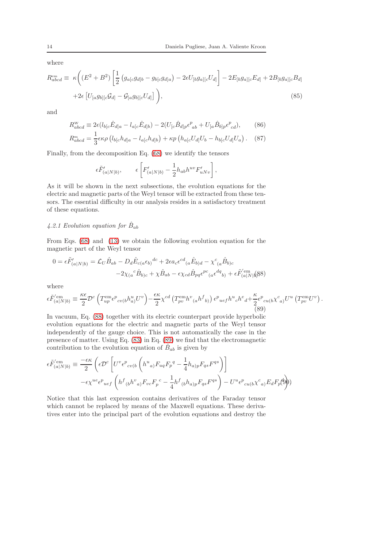where

$$
R_{abcd}^{\text{em}} \equiv \kappa \bigg( (E^2 + B^2) \left[ \frac{1}{2} \left( g_{a[c} g_{d]b} - g_{b[c} g_{d]a} \right) - 2\epsilon U_{[b} g_{a][c} U_{d]} \right] - 2E_{[b} g_{a][c} E_{d]} + 2B_{[b} g_{a][c} B_{d]}
$$

$$
+ 2\epsilon \left[ U_{[a} g_{b][c} \mathcal{G}_{d]} - \mathcal{G}_{[a} g_{b][c} U_{d]} \right] \bigg), \tag{85}
$$

and

$$
R_{abcd}^{\text{w}} \equiv 2\epsilon (l_{b[c}\hat{E}_{d]a} - l_{a[c}\hat{E}_{d]b}) - 2(U_{[c}\hat{B}_{d]p}\epsilon_{ab}^p + U_{[a}\hat{B}_{b]p}\epsilon_{cd}^p), \tag{86}
$$
  

$$
R_{abcd}^{\text{m}} = \frac{1}{3}\epsilon\kappa\rho (l_{b[c}h_{d]a} - l_{a[c}h_{d]b}) + \kappa p (h_{a[c}U_{d]}U_b - h_{b[c}U_{d]}U_a). \tag{87}
$$

Finally, from the decomposition Eq. [\(68\)](#page-11-2) we identify the tensors

$$
\epsilon \tilde{F}'_{(a|N|b)}, \qquad \epsilon \left[ F'_{(a|N|b)} - \frac{1}{2} h_{ab} h^{uv} F'_{uNv} \right],
$$

As it will be shown in the next subsections, the evolution equations for the electric and magnetic parts of the Weyl tensor will be extracted from these tensors. The essential difficulty in our analysis resides in a satisfactory treatment of these equations.

## 4.2.1 Evolution equation for  $\hat{B}_{ab}$

From Eqs. [\(68\)](#page-11-2) and [\(13\)](#page-5-0) we obtain the following evolution equation for the magnetic part of the Weyl tensor

<span id="page-13-0"></span>
$$
0 = \epsilon \tilde{F}'_{(a|N|b)} = \mathcal{L}_U \hat{B}_{ab} - D_d \hat{E}_{c(a}\epsilon_{b)}{}^{dc} + 2\epsilon a_c \epsilon^{cd}{}_{(a}\hat{E}_{b)d} - \chi^c{}_{(a}\hat{B}_{b)c}
$$

$$
-2\chi_{(a}{}^c \hat{B}_{b)c} + \chi \hat{B}_{ab} - \epsilon \chi_{cd} \hat{B}_{pq} \epsilon^{pc}{}_{(a}\epsilon^{dq}{}_{b)} + \epsilon \tilde{F}'_{(a|N|b)}^{em} (88)
$$

where

<span id="page-13-1"></span>
$$
\epsilon \tilde{F}_{(a|N|b)}^{'\text{em}} \equiv \frac{\kappa \epsilon}{2} \mathcal{D}^c \left( T_{up}^{\text{em}} \epsilon^p{}_{cv(b} h_{a)}^u U^v \right) - \frac{\epsilon \kappa}{2} \chi^{cd} \left( T_{pv}^{\text{em}} h^v{}_{(a} h^f{}_{b)} \right) \epsilon^p{}_{uef} h^u{}_{c} h^e{}_{d} + \frac{\kappa}{2} \epsilon^p{}_{cu(b} \chi^c{}_{a)} U^u \left( T_{pv}^{\text{em}} U^v \right). \tag{89}
$$

In vacuum, Eq. [\(88\)](#page-13-0) together with its electric counterpart provide hyperbolic evolution equations for the electric and magnetic parts of the Weyl tensor independently of the gauge choice. This is not automatically the case in the presence of matter. Using Eq. [\(83\)](#page-12-2) in Eq. [\(89\)](#page-13-1) we find that the electromagnetic contribution to the evolution equation of  $\hat{B}_{ab}$  is given by

$$
\epsilon \tilde{F}_{(a|N|b)}^{'\text{em}} \equiv \frac{-\epsilon \kappa}{2} \left( \epsilon \mathcal{D}^c \left[ U^v \epsilon^p{}_{cv(b} \left( h^u{}_{a)} F_{uq} F_p{}^q - \frac{1}{4} h_{a)p} F_{qs} F^{qs} \right) \right] \right. \\
\left. - \epsilon \chi^{ue} \epsilon^p{}_{uef} \left( h^f{}_{(b} h^v{}_{a)} F_{vc} F_p{}^c - \frac{1}{4} h^f{}_{(b} h_{a)p} F_{qs} F^{qs} \right) - U^u \epsilon^p{}_{cu(b} \chi^c{}_{a)} E_d F_p(\theta) \right)
$$

Notice that this last expression contains derivatives of the Faraday tensor which cannot be replaced by means of the Maxwell equations. These derivatives enter into the principal part of the evolution equations and destroy the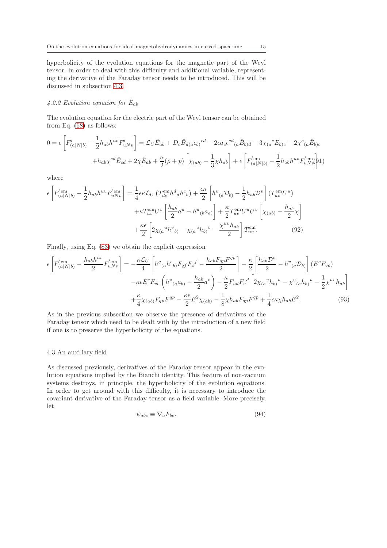hyperbolicity of the evolution equations for the magnetic part of the Weyl tensor. In order to deal with this difficulty and additional variable, representing the derivative of the Faraday tensor needs to be introduced. This will be discussed in subsection [4.3.](#page-14-0)

## 4.2.2 Evolution equation for  $\hat{E}_{ab}$

The evolution equation for the electric part of the Weyl tensor can be obtained from Eq. [\(68\)](#page-11-2) as follows:

<span id="page-14-1"></span>
$$
0 = \epsilon \left[ F'_{(a|N|b)} - \frac{1}{2} h_{ab} h^{uv} F'_{uNv} \right] = \mathcal{L}_U \hat{E}_{ab} + D_c \hat{B}_{d(a} \epsilon_{b)}{}^{cd} - 2\epsilon a_c \epsilon^{cd}{}_{(a} \hat{B}_{b)d} - 3\chi_{(a}{}^c \hat{E}_{b)c} - 2\chi^c{}_{(a} \hat{E}_{b)c} + h_{ab} \chi^{cd} \hat{E}_{cd} + 2\chi \hat{E}_{ab} + \frac{\kappa}{2} (\rho + p) \left[ \chi_{(ab)} - \frac{1}{3} \chi h_{ab} \right] + \epsilon \left[ F'_{(a|N|b)}' - \frac{1}{2} h_{ab} h^{uv} F'_{uNv}{}^{(b)} \right] + 2\chi^{(a)} \hat{E}_{cd} + \frac{\kappa}{2} (\rho + p) \left[ \chi_{(ab)} - \frac{1}{3} \chi h_{ab} \right] + \epsilon \left[ F'_{(a|N|b)}' - \frac{1}{2} h_{ab} h^{uv} F'_{uNv}{}^{(b)} \right] + \epsilon \left[ F'_{(a|N|b)} - \frac{1}{2} h_{ab} h^{uv} F'_{uNv}{}^{(c)} \right] + \epsilon \left[ F'_{(a|N|b)} - \frac{1}{2} h_{ab} h^{uv} F'_{uNv}{}^{(d)} \right] + \epsilon \left[ F'_{(a|N|b)} - \frac{1}{2} h_{ab} h^{uv} F'_{uNv}{}^{(d)} \right] + \epsilon \left[ F'_{(a|N|b)} - \frac{1}{2} h_{ab} h^{uv} F'_{uNv}{}^{(d)} \right] + \epsilon \left[ F'_{(a|N|b)} - \frac{1}{2} h_{ab} h^{uv} F'_{uNv}{}^{(d)} \right] + \epsilon \left[ F'_{(a|N|b)} - \frac{1}{2} h_{ab} h^{uv} F'_{uNv}{}^{(d)} \right] + \epsilon \left[ F'_{(a|N|b)} - \frac{1}{2} h_{ab} h^{uv} F'_{uNv}{}^{(e)} \right] + \epsilon \left[ F'_{(a|N|b)} - \frac{1}{2} h_{ab} h^{uv} F'_{uNv}{}^{(e)} \right] + \epsilon \left[ F'_{(a|N|b)} - \frac
$$

where

$$
\epsilon \left[ F_{(a|N|b)}^{'\text{em}} - \frac{1}{2} h_{ab} h^{uv} F_{uNv}^{'\text{em}} \right] = \frac{1}{4} \epsilon \kappa \mathcal{L}_U \left( T_{dc}^{\text{em}} h^d{}_a h^c{}_b \right) + \frac{\epsilon \kappa}{2} \left[ h^v{}_{(a} \mathcal{D}_{b)} - \frac{1}{2} h_{ab} \mathcal{D}^v \right] \left( T_{uv}^{\text{em}} U^u \right) + \kappa T_{uv}^{\text{em}} U^v \left[ \frac{h_{ab}}{2} a^u - h^u{}_{(b} a_a \right] \right] + \frac{\kappa}{2} T_{uv}^{\text{em}} U^u U^v \left[ \chi_{(ab)} - \frac{h_{ab}}{2} \chi \right] + \frac{\kappa \epsilon}{2} \left[ 2 \chi_{(a}{}^u h^v{}_{b)} - \chi_{(a}{}^u h_{b)}{}^v - \frac{\chi^{uv} h_{ab}}{2} \right] T_{uv}^{\text{em}}.
$$
 (92)

Finally, using Eq. [\(83\)](#page-12-2) we obtain the explicit expression

$$
\epsilon \left[ F_{(a|N|b)}^{(\text{em})} - \frac{h_{ab}h^{uv}}{2} F_{uNv}^{(\text{em})} \right] = -\frac{\kappa \mathcal{L}_U}{4} \left[ h^q_{(a}h^c_{b)} F_{qf} F_c^f - \frac{h_{ab}F_{qp}F^{qp}}{2} \right] - \frac{\kappa}{2} \left[ \frac{h_{ab}\mathcal{D}^v}{2} - h^v_{(a}\mathcal{D}_{b)} \right] (E^c F_{vc})
$$

$$
- \kappa \epsilon E^c F_{vc} \left( h^v_{(a}a_{b)} - \frac{h_{ab}}{2}a^v \right) - \frac{\kappa}{2} F_{ud} F_v^d \left[ 2\chi_{(a}{}^v h_{b)}{}^u - \chi^v_{(a} h_{b)}{}^u - \frac{1}{2} \chi^{uv} h_{ab} \right]
$$

$$
+ \frac{\kappa}{4} \chi_{(ab)} F_{qp} F^{qp} - \frac{\kappa \epsilon}{2} E^2 \chi_{(ab)} - \frac{1}{8} \chi h_{ab} F_{qp} F^{qp} + \frac{1}{4} \epsilon \kappa \chi h_{ab} E^2. \tag{93}
$$

As in the previous subsection we observe the presence of derivatives of the Faraday tensor which need to be dealt with by the introduction of a new field if one is to preserve the hyperbolicity of the equations.

#### <span id="page-14-0"></span>4.3 An auxiliary field

As discussed previously, derivatives of the Faraday tensor appear in the evolution equations implied by the Bianchi identity. This feature of non-vacuum systems destroys, in principle, the hyperbolicity of the evolution equations. In order to get around with this difficulty, it is necessary to introduce the covariant derivative of the Faraday tensor as a field variable. More precisely, let

$$
\psi_{abc} \equiv \nabla_a F_{bc}.\tag{94}
$$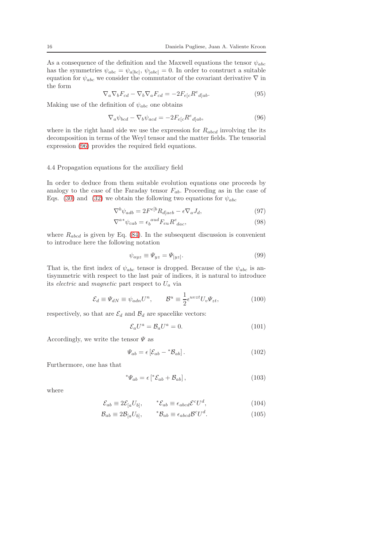As a consequence of the definition and the Maxwell equations the tensor  $\psi_{abc}$ has the symmetries  $\psi_{abc} = \psi_{a[bc]}, \psi_{[abc]} = 0$ . In order to construct a suitable equation for  $\psi_{abc}$  we consider the commutator of the covariant derivative  $\nabla$  in the form

$$
\nabla_a \nabla_b F_{cd} - \nabla_b \nabla_a F_{cd} = -2F_{e[c} R^e_{\ d]ab}.
$$
\n(95)

Making use of the definition of  $\psi_{abc}$  one obtains

<span id="page-15-0"></span>
$$
\nabla_a \psi_{bcd} - \nabla_b \psi_{acd} = -2F_{e[c}R^e_{\ d]ab},\tag{96}
$$

where in the right hand side we use the expression for  $R_{abcd}$  involving the its decomposition in terms of the Weyl tensor and the matter fields. The tensorial expression [\(96\)](#page-15-0) provides the required field equations.

#### 4.4 Propagation equations for the auxiliary field

In order to deduce from them suitable evolution equations one proceeds by analogy to the case of the Faraday tensor  $F_{ab}$ . Proceeding as in the case of Eqs. [\(30\)](#page-7-4) and [\(32\)](#page-7-2) we obtain the following two equations for  $\psi_{abc}$ 

<span id="page-15-1"></span>
$$
\nabla^b \psi_{adb} = 2F^{e[b]} R_{d|acb} - \epsilon \nabla_a J_d,\tag{97}
$$

$$
\nabla^{a*} \psi_{cab} = \epsilon_b^{aud} F_{eu} R^e_{\; dac},\tag{98}
$$

where  $R_{abcd}$  is given by Eq. [\(84\)](#page-12-3). In the subsequent discussion is convenient to introduce here the following notation

$$
\psi_{ayz} \equiv \Psi_{yz} = \Psi_{[yz]}.\tag{99}
$$

That is, the first index of  $\psi_{abc}$  tensor is dropped. Because of the  $\psi_{abc}$  is antisymmetric with respect to the last pair of indices, it is natural to introduce its *electric* and *magnetic* part respect to  $U_a$  via

<span id="page-15-2"></span>
$$
\mathcal{E}_d \equiv \Psi_{dN} \equiv \psi_{adn} U^n, \qquad \mathcal{B}^u \equiv \frac{1}{2} \epsilon^{uvzt} U_v \Psi_{zt}, \tag{100}
$$

respectively, so that are  $\mathcal{E}_d$  and  $\mathcal{B}_d$  are spacelike vectors:

$$
\mathcal{E}_a U^a = \mathcal{B}_a U^a = 0. \tag{101}
$$

Accordingly, we write the tensor  $\Psi$  as

$$
\Psi_{ab} = \epsilon \left[ \mathcal{E}_{ab} - {}^* \mathcal{B}_{ab} \right]. \tag{102}
$$

Furthermore, one has that

$$
^*\Psi_{ab} = \epsilon \left[ ^*\mathcal{E}_{ab} + \mathcal{B}_{ab} \right],\tag{103}
$$

where

$$
\mathcal{E}_{ab} \equiv 2\mathcal{E}_{[a}U_{b]}, \qquad \, ^*\mathcal{E}_{ab} \equiv \epsilon_{abcd}\mathcal{E}^c U^d,\tag{104}
$$

$$
\mathcal{B}_{ab} \equiv 2\mathcal{B}_{[a}U_{b]}, \qquad \, ^*\mathcal{B}_{ab} \equiv \epsilon_{abcd}\mathcal{B}^cU^d. \tag{105}
$$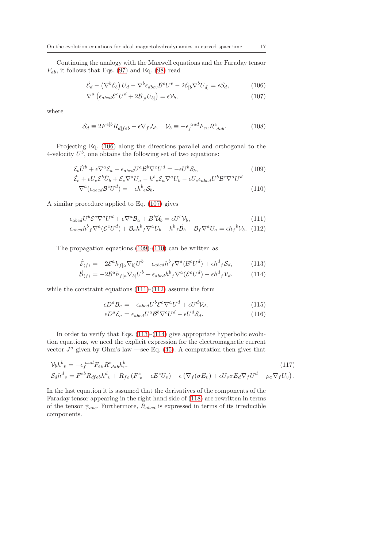Continuing the analogy with the Maxwell equations and the Faraday tensor  $F_{ab}$ , it follows that Eqs. [\(97\)](#page-15-1) and Eq. [\(98\)](#page-15-1) read

<span id="page-16-0"></span>
$$
\dot{\mathcal{E}}_d - \left(\nabla^b \mathcal{E}_b\right) U_d - \nabla^b \epsilon_{dbcv} \mathcal{B}^c U^v - 2\mathcal{E}_{[b} \nabla^b U_{d]} = \epsilon \mathcal{S}_d,\tag{106}
$$

$$
\nabla^{a} \left( \epsilon_{abcd} \mathcal{E}^{c} U^{d} + 2 \mathcal{B}_{[a} U_{b]} \right) = \epsilon \mathcal{V}_{b}, \qquad (107)
$$

where

$$
S_d \equiv 2F^{e[b}R_{d]feb} - \epsilon \nabla_f J_d, \quad \mathcal{V}_b \equiv -\epsilon_f^{aud} F_{eu} R^e_{\ dab}.
$$
 (108)

Projecting Eq. [\(106\)](#page-16-0) along the directions parallel and orthogonal to the 4-velocity  $U^b$ , one obtains the following set of two equations:

<span id="page-16-1"></span>
$$
\mathcal{E}_b \dot{U}^b + \epsilon \nabla^a \mathcal{E}_a - \epsilon_{abcd} U^a \mathcal{B}^b \nabla^c U^d = -\epsilon U^b \mathcal{S}_b,
$$
\n
$$
\dot{\mathcal{E}}_{ab} = U^b \mathcal{E}_{ab} \mathcal{E}_{ab} + U^b \mathcal{E}_{ab} \mathcal{E}_{ab} \mathcal{E}_{ab} + U^b \mathcal{E}_{ab} \mathcal{E}_{ab} \mathcal{E}_{ab} \tag{109}
$$

$$
\dot{\mathcal{E}}_e + \epsilon U_e \mathcal{E}^b \dot{U}_b + \mathcal{E}_e \nabla^a U_a - h^b{}_e \mathcal{E}_a \nabla^a U_b - \epsilon U_e \epsilon_{abcd} U^b \mathcal{B}^c \nabla^a U^d
$$
  
+ 
$$
\nabla^a (\epsilon_{acd} \mathcal{B}^c U^d) = -\epsilon h^b{}_e \mathcal{S}_b.
$$
 (110)

A similar procedure applied to Eq. [\(107\)](#page-16-0) gives

<span id="page-16-2"></span>
$$
\epsilon_{abcd}U^b \mathcal{E}^c \nabla^a U^d + \epsilon \nabla^a \mathcal{B}_a + B^b \dot{\mathcal{U}}_b = \epsilon U^b \mathcal{V}_b,\tag{111}
$$

$$
\epsilon_{abcd}h^b{}_f \nabla^a (\mathcal{E}^c U^d) + \mathcal{B}_a h^b{}_f \nabla^a U_b - h^b{}_f \dot{\mathcal{B}}_b - \mathcal{B}_f \nabla^a U_a = \epsilon h{}_f{}^b \mathcal{V}_b. \tag{112}
$$

The propagation equations [\(109\)](#page-16-1)-[\(110\)](#page-16-1) can be written as

<span id="page-16-3"></span>
$$
\dot{\mathcal{E}}_{\langle f \rangle} = -2\mathcal{E}^a h_{f[a} \nabla_{b]} U^b - \epsilon_{abcd} h^b_{\ f} \nabla^a (\mathcal{B}^c U^d) + \epsilon h^d_{\ f} \mathcal{S}_d,\tag{113}
$$

$$
\dot{\mathcal{B}}_{\langle f \rangle} = -2\mathcal{B}^a h_{f[a} \nabla_{b]} U^b + \epsilon_{abcd} h^b_{f} \nabla^a (\mathcal{E}^c U^d) - \epsilon h^d_{f} \mathcal{V}_d. \tag{114}
$$

while the constraint equations [\(111\)](#page-16-2)-[\(112\)](#page-16-2) assume the form

$$
\epsilon D^a \mathcal{B}_a = -\epsilon_{abcd} U^b \mathcal{E}^c \nabla^a U^d + \epsilon U^d \mathcal{V}_d,\tag{115}
$$

$$
\epsilon D^a \mathcal{E}_a = \epsilon_{abcd} U^a \mathcal{B}^b \nabla^c U^d - \epsilon U^d \mathcal{S}_d. \tag{116}
$$

In order to verify that Eqs.  $(113)-(114)$  $(113)-(114)$  give appropriate hyperbolic evolution equations, we need the explicit expression for the electromagnetic current vector  $J^a$  given by Ohm's law —see Eq. [\(45\)](#page-9-0). A computation then gives that

<span id="page-16-4"></span>
$$
\mathcal{V}_b h^b{}_v = -\epsilon_f^{aud} F_{eu} R^e_{dab} h^b_v.
$$
\n
$$
\mathcal{S}_d h^d{}_v = F^{eb} R_{dfeb} h^d{}_v + R_{fe} (F^e{}_v - \epsilon E^e U_v) - \epsilon (\nabla_f (\sigma E_v) + \epsilon U_v \sigma E_d \nabla_f U^d + \rho_c \nabla_f U_v).
$$
\n(117)

In the last equation it is assumed that the derivatives of the components of the Faraday tensor appearing in the right hand side of [\(118\)](#page-16-4) are rewritten in terms of the tensor  $\psi_{abc}$ . Furthermore,  $R_{abcd}$  is expressed in terms of its irreducible components.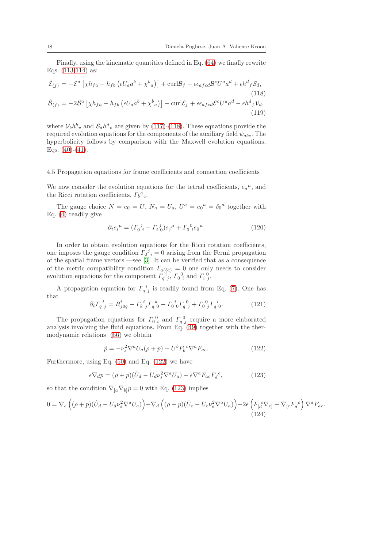Finally, using the kinematic quantities defined in Eq. [\(64\)](#page-11-3) we finally rewrite Eqs. [\(113-114\)](#page-16-3) as:

<span id="page-17-4"></span>
$$
\dot{\mathcal{E}}_{\langle f \rangle} = -\mathcal{E}^{a} \left[ \chi h_{fa} - h_{fb} \left( \epsilon U_{a} a^{b} + \chi^{b}{}_{a} \right) \right] + \text{curl} \mathcal{B}_{f} - \epsilon \epsilon_{afcd} \mathcal{B}^{c} U^{a} a^{d} + \epsilon h^{d}{}_{f} \mathcal{S}_{d},
$$
\n
$$
\dot{\mathcal{B}}_{\langle f \rangle} = -2\mathcal{B}^{a} \left[ \chi h_{fa} - h_{fb} \left( \epsilon U_{a} a^{b} + \chi^{b}{}_{a} \right) \right] - \text{curl} \mathcal{E}_{f} + \epsilon \epsilon_{afcd} \mathcal{E}^{c} U^{a} a^{d} - \epsilon h^{d}{}_{f} \mathcal{V}_{d},
$$
\n
$$
(119)
$$

where  $V_b h^b{}_v$  and  $S_d h^d{}_v$  are given by [\(117\)](#page-16-4)-[\(118\)](#page-16-4). These equations provide the required evolution equations for the components of the auxiliary field  $\psi_{abc}$ . The hyperbolicity follows by comparison with the Maxwell evolution equations, Eqs.  $(40)-(41)$  $(40)-(41)$ .

#### 4.5 Propagation equations for frame coefficients and connection coefficients

We now consider the evolution equations for the tetrad coefficients,  $e_a{}^{\mu}$ , and the Ricci rotation coefficients,  $\Gamma_b{}^a{}_c$ .

The gauge choice  $N = e_0 = U$ ,  $N_a = U_a$ ,  $U^a = e_0^a = \delta_0^a$  together with Eq. [\(4\)](#page-4-2) readily give

<span id="page-17-3"></span>
$$
\partial_t e_i^{\mu} = (\Gamma_0^{\ j} - \Gamma_i^{\ j}) e_j^{\mu} + \Gamma_0^{\ 0} e_0^{\mu}.
$$
 (120)

In order to obtain evolution equations for the Ricci rotation coefficients, one imposes the gauge condition  $\Gamma_0{}^j{}_i = 0$  arising from the Fermi propagation of the spatial frame vectors —see [\[3\]](#page-23-2). It can be verified that as a consequence of the metric compatibility condition  $\Gamma_{a(bc)} = 0$  one only needs to consider evolution equations for the component  $\Gamma_{q}^{[i]}$ ,  $\Gamma_{0}^{0}$  and  $\Gamma_{i}^{0}$ .

A propagation equation for  $\Gamma_{q}^{i}$  is readily found from Eq. [\(7\)](#page-5-4). One has that

<span id="page-17-2"></span>
$$
\partial_t \Gamma_q^i{}_j = R^i_{j0q} - \Gamma_k^i{}_j \Gamma_q^k{}_0 - \Gamma_0^i{}_0 \Gamma_q^0{}_j + \Gamma_0^0{}_j \Gamma_q^i{}_0. \tag{121}
$$

The propagation equations for  $\Gamma_0^0$  and  $\Gamma_q^0$  require a more elaborated analysis involving the fluid equations. From Eq.  $(49)$  together with the thermodynamic relations [\(56\)](#page-10-2) we obtain

<span id="page-17-0"></span>
$$
\dot{p} = -\nu_s^2 \nabla^a U_a(\rho + p) - U^b F_b^{\ c} \nabla^a F_{ac}.
$$
\n(122)

Furthermore, using Eq.  $(50)$  and Eq.  $(122)$  we have

<span id="page-17-1"></span>
$$
\epsilon \nabla_d p = (\rho + p)(\dot{U}_d - U_d \nu_s^2 \nabla^a U_a) - \epsilon \nabla^a F_{ac} F_d{}^c,\tag{123}
$$

so that the condition  $\nabla_{[a}\nabla_{b]}p = 0$  with Eq. [\(123\)](#page-17-1) implies

$$
0 = \nabla_e \left( (\rho + p)(\dot{U}_d - U_d \nu_s^2 \nabla^a U_a) \right) - \nabla_d \left( (\rho + p)(\dot{U}_e - U_e \nu_s^2 \nabla^a U_a) \right) - 2\epsilon \left( F_{[d}^c \nabla_{e]} + \nabla_{[e} F_{d]}^c \right) \nabla^a F_{ac}.
$$
\n(124)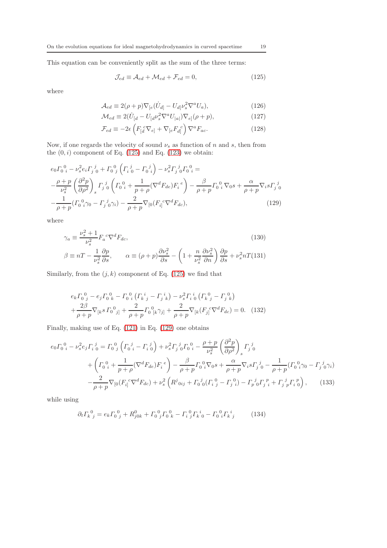This equation can be conveniently split as the sum of the three terms:

<span id="page-18-0"></span>
$$
\mathcal{J}_{ed} \equiv \mathcal{A}_{ed} + \mathcal{M}_{ed} + \mathcal{F}_{ed} = 0, \qquad (125)
$$

where

$$
\mathcal{A}_{ed} \equiv 2(\rho + p)\nabla_{[e}(\dot{U}_{d]} - U_{d]} \nu_s^2 \nabla^a U_a),\tag{126}
$$

$$
\mathcal{M}_{ed} \equiv 2(\dot{U}_{[d} - U_{[d} \nu_s^2 \nabla^a U_{[a]}) \nabla_{e]} (\rho + p), \qquad (127)
$$

$$
\mathcal{F}_{ed} \equiv -2\epsilon \left( F_{[d}^{c} \nabla_{e]} + \nabla_{[e} F_{d]}^{c} \right) \nabla^{a} F_{ac}.
$$
\n(128)

Now, if one regards the velocity of sound  $\nu_s$  as function of n and s, then from the  $(0, i)$  component of Eq. [\(125\)](#page-18-0) and Eq. [\(123\)](#page-17-1) we obtain:

<span id="page-18-1"></span>
$$
e_0 \Gamma_0^0{}_{i} - \nu_s^2 e_i \Gamma_j^j{}_{0} + \Gamma_0^0{}_{j} \left( \Gamma_i^j{}_{0} - \Gamma_0^j{}_{i} \right) - \nu_s^2 \Gamma_j^j{}_{0} \Gamma_0^0{}_{i} =
$$
  

$$
-\frac{\rho + p}{\nu_s^2} \left( \frac{\partial^2 p}{\partial \rho^2} \right)_s \Gamma_j^j{}_{0} \left( \Gamma_0^0{}_{i} + \frac{1}{p + \rho} (\nabla^d F_{de}) F_i^e \right) - \frac{\beta}{\rho + p} \Gamma_0^0{}_{i} \nabla_0 s + \frac{\alpha}{\rho + p} \nabla_i s \Gamma_j^j{}_{0}
$$
  

$$
-\frac{1}{\rho + p} (\Gamma_0^0{}_{i} \gamma_0 - \Gamma_j^j{}_{0} \gamma_i) - \frac{2}{\rho + p} \nabla_{[0} (F_{i]}^c \nabla^d F_{dc}),
$$
 (129)

where

<span id="page-18-3"></span>
$$
\gamma_a \equiv \frac{\nu_s^2 + 1}{\nu_s^2} F_a^{\ c} \nabla^d F_{dc},
$$
\n
$$
\beta \equiv nT - \frac{1}{\nu_s^2} \frac{\partial p}{\partial s}, \qquad \alpha \equiv (\rho + p) \frac{\partial \nu_s^2}{\partial s} - \left(1 + \frac{n}{\nu_s^2} \frac{\partial \nu_s^2}{\partial n}\right) \frac{\partial p}{\partial s} + \nu_s^2 n T(131)
$$
\n(130)

Similarly, from the  $(j, k)$  component of Eq. [\(125\)](#page-18-0) we find that

<span id="page-18-2"></span>
$$
e_{k}\Gamma_{0\ j}^{0} - e_{j}\Gamma_{0\ k}^{0} - \Gamma_{0\ i}^{0}\left(\Gamma_{k\ j}^{i} - \Gamma_{j\ k}^{i}\right) - \nu_{s}^{2}\Gamma_{i\ 0}^{i}\left(\Gamma_{k\ j}^{0} - \Gamma_{j\ k}^{0}\right) + \frac{2\beta}{\rho + p}\nabla_{[k}^{0}F_{0\ j]} + \frac{2}{\rho + p}\Gamma_{0\ [k}\gamma_{j]} + \frac{2}{\rho + p}\nabla_{[k}(F_{j}^{c}\nabla^{d}F_{dc}) = 0. \tag{132}
$$

Finally, making use of Eq. [\(121\)](#page-17-2) in Eq. [\(129\)](#page-18-1) one obtains

$$
e_0 \Gamma_0^0{}_{i} - \nu_s^2 e_j \Gamma_i^j{}_{0} = \Gamma_0^0{}_{j} \left( \Gamma_0^j{}_{i} - \Gamma_i^j{}_{0} \right) + \nu_s^2 \Gamma_j^j{}_{0} \Gamma_0^0{}_{i} - \frac{\rho + p}{\nu_s^2} \left( \frac{\partial^2 p}{\partial \rho^2} \right)_s \Gamma_j^j{}_{0} + \left( \Gamma_0^0{}_{i} + \frac{1}{p + \rho} (\nabla^d F_{de}) F_i^e \right) - \frac{\beta}{\rho + p} \Gamma_0^0{}_{i} \nabla_0 s + \frac{\alpha}{\rho + p} \nabla_i s \Gamma_j^j{}_{0} - \frac{1}{\rho + p} (\Gamma_0^0{}_{i} \gamma_0 - \Gamma_j^j{}_{0} \gamma_i) - \frac{2}{\rho + p} \nabla_{[0} (F_{i]}^c \nabla^d F_{dc}) + \nu_s^2 \left( R^j{}_{0ij} + \Gamma_0^j{}_{0} (\Gamma_i^0{}_{j} - \Gamma_j^0{}_{i}) - \Gamma_p^j{}_{0} \Gamma_j^p{}_{i} + \Gamma_j^j{}_{p} \Gamma_i^p{}_{0} \right), \tag{133}
$$

while using

$$
\partial_t \Gamma_{k\ j}^{\ 0} = e_k \Gamma_0^{\ 0}{}_{j} + R^0_{j0k} + \Gamma_0^{\ 0}{}_{j} \Gamma_0^{\ 0}{}_{k} - \Gamma_i^{\ 0}{}_{j} \Gamma_k^{\ i}{}_{0} - \Gamma_0^{\ 0}{}_{i} \Gamma_k^{\ i}{}_{j} \tag{134}
$$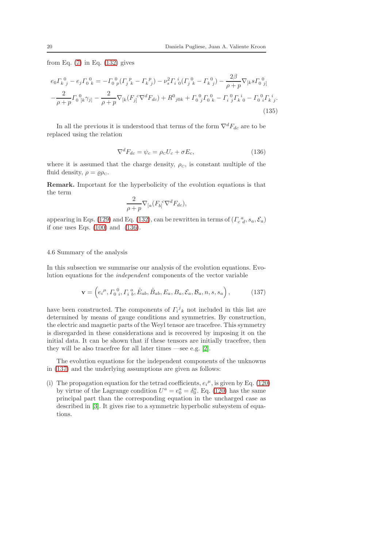from Eq.  $(7)$  in Eq.  $(132)$  gives

$$
e_0 F_k^0 - e_j F_0^0{}_k = -F_0^0{}_p (F_j^p{}_k - F_k^p{}_j) - \nu_s^2 F_i{}^i{}_0 (F_j^0{}_k - F_k^0{}_j) - \frac{2\beta}{\rho + p} \nabla_{[k} s F_0^0{}_j]
$$
  

$$
-\frac{2}{\rho + p} F_0^0{}_k \gamma_j{}_1 - \frac{2}{\rho + p} \nabla_{[k} (F_j^c \nabla^d F_{dc}) + R^0{}_{j0k} + F_0^0{}_j F_0^0{}_k - F_i^0{}_j^0 F_k{}^i{}_0 - F_0^0{}_i F_k{}^i{}_j. \tag{135}
$$

In all the previous it is understood that terms of the form  $\nabla^d F_{dc}$  are to be replaced using the relation

<span id="page-19-1"></span>
$$
\nabla^d F_{dc} = \psi_c = \rho_c U_c + \sigma E_c,\tag{136}
$$

where it is assumed that the charge density,  $\rho_c$ , is constant multiple of the fluid density,  $\rho = \rho \rho_c$ .

Remark. Important for the hyperbolicity of the evolution equations is that the term

$$
\frac{2}{\rho+p} \nabla_{[a} (F_{b]}^{\ \ c} \nabla^d F_{dc}),
$$

appearing in Eqs. [\(129\)](#page-18-1) and Eq. [\(132\)](#page-18-2), can be rewritten in terms of  $(\Gamma_{c\ d}^{\ a}, s_{a}, \mathcal{E}_{a})$ if one uses Eqs. [\(100\)](#page-15-2) and [\(136\)](#page-19-1).

### <span id="page-19-0"></span>4.6 Summary of the analysis

In this subsection we summarise our analysis of the evolution equations. Evolution equations for the independent components of the vector variable

<span id="page-19-2"></span>
$$
\mathbf{v} = \left( e_i^{\mu}, \Gamma_0^{\ 0}, \Gamma_i^{\ a}, \hat{E}_{ab}, \hat{B}_{ab}, E_a, B_a, \mathcal{E}_a, \mathcal{B}_a, n, s, s_a \right),\tag{137}
$$

have been constructed. The components of  $\Gamma_i^j{}_k$  not included in this list are determined by means of gauge conditions and symmetries. By construction, the electric and magnetic parts of the Weyl tensor are tracefree. This symmetry is disregarded in these considerations and is recovered by imposing it on the initial data. It can be shown that if these tensors are initially tracefree, then they will be also tracefree for all later times —see e.g. [\[2\]](#page-23-1).

The evolution equations for the independent components of the unknowns in [\(137\)](#page-19-2) and the underlying assumptions are given as follows:

(i) The propagation equation for the tetrad coefficients,  $e_i^{\mu}$ , is given by Eq. [\(120\)](#page-17-3) by virtue of the Lagrange condition  $U^a = e_0^a = \delta_0^a$ . Eq. [\(120\)](#page-17-3) has the same principal part than the corresponding equation in the uncharged case as described in [\[3\]](#page-23-2). It gives rise to a symmetric hyperbolic subsystem of equations.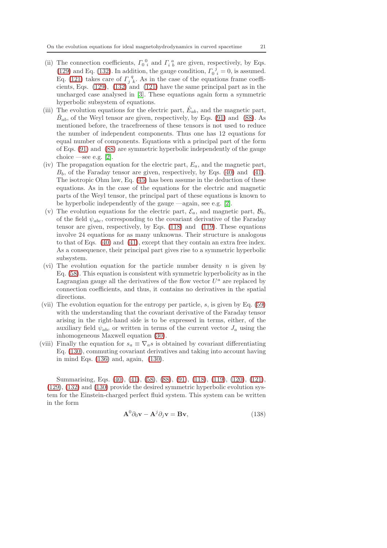- (ii) The connection coefficients,  $\Gamma_0^0$  and  $\Gamma_i^a$  are given, respectively, by Eqs. [\(129\)](#page-18-1) and Eq. [\(132\)](#page-18-2). In addition, the gauge condition,  $\Gamma_0^{\ j} = 0$ , is assumed. Eq. [\(121\)](#page-17-2) takes care of  $\Gamma_j^q$ . As in the case of the equations frame coefficients, Eqs.  $(129)$ ,  $(132)$  and  $(121)$  have the same principal part as in the uncharged case analysed in [\[3\]](#page-23-2). These equations again form a symmetric hyperbolic subsystem of equations.
- (iii) The evolution equations for the electric part,  $\hat{E}_{ab}$ , and the magnetic part,  $\hat{B}_{ab}$ , of the Weyl tensor are given, respectively, by Eqs. [\(91\)](#page-14-1) and [\(88\)](#page-13-0). As mentioned before, the tracefreeness of these tensors is not used to reduce the number of independent components. Thus one has 12 equations for equal number of components. Equations with a principal part of the form of Eqs. [\(91\)](#page-14-1) and [\(88\)](#page-13-0) are symmetric hyperbolic independently of the gauge choice —see e.g.  $[2]$ .
- (iv) The propagation equation for the electric part,  $E_a$ , and the magnetic part,  $B<sub>b</sub>$ , of the Faraday tensor are given, respectively, by Eqs. [\(40\)](#page-8-4) and [\(41\)](#page-8-4). The isotropic Ohm law, Eq. [\(45\)](#page-9-0) has been assume in the deduction of these equations. As in the case of the equations for the electric and magnetic parts of the Weyl tensor, the principal part of these equations is known to be hyperbolic independently of the gauge —again, see e.g. [\[2\]](#page-23-1).
- (v) The evolution equations for the electric part,  $\mathcal{E}_a$ , and magnetic part,  $\mathcal{B}_b$ , of the field  $\psi_{abc}$ , corresponding to the covariant derivative of the Faraday tensor are given, respectively, by Eqs. [\(118\)](#page-17-4) and [\(119\)](#page-17-4). These equations involve 24 equations for as many unknowns. Their structure is analogous to that of Eqs. [\(40\)](#page-8-4) and [\(41\)](#page-8-4), except that they contain an extra free index. As a consequence, their principal part gives rise to a symmetric hyperbolic subsystem.
- (vi) The evolution equation for the particle number density  $n$  is given by Eq. [\(58\)](#page-10-3). This equation is consistent with symmetric hyperbolicity as in the Lagrangian gauge all the derivatives of the flow vector  $U^a$  are replaced by connection coefficients, and thus, it contains no derivatives in the spatial directions.
- (vii) The evolution equation for the entropy per particle,  $s$ , is given by Eq. [\(59\)](#page-10-1) with the understanding that the covariant derivative of the Faraday tensor arising in the right-hand side is to be expressed in terms, either, of the auxiliary field  $\psi_{abc}$  or written in terms of the current vector  $J_a$  using the inhomogeneous Maxwell equation [\(30\)](#page-7-4).
- (viii) Finally the equation for  $s_a \equiv \nabla_a s$  is obtained by covariant differentiating Eq. [\(130\)](#page-18-3), commuting covariant derivatives and taking into account having in mind Eqs. [\(136\)](#page-19-1) and, again, [\(130\)](#page-18-3).

Summarising, Eqs. [\(40\)](#page-8-4), [\(41\)](#page-8-4), [\(58\)](#page-10-3), [\(88\)](#page-13-0), [\(91\)](#page-14-1), [\(118\)](#page-17-4), [\(119\)](#page-17-4), [\(120\)](#page-17-3), [\(121\)](#page-17-2), [\(129\)](#page-18-1), [\(132\)](#page-18-2) and [\(130\)](#page-18-3) provide the desired symmetric hyperbolic evolution system for the Einstein-charged perfect fluid system. This system can be written in the form

<span id="page-20-0"></span>
$$
\mathbf{A}^0 \partial_0 \mathbf{v} - \mathbf{A}^j \partial_j \mathbf{v} = \mathbf{B} \mathbf{v},\tag{138}
$$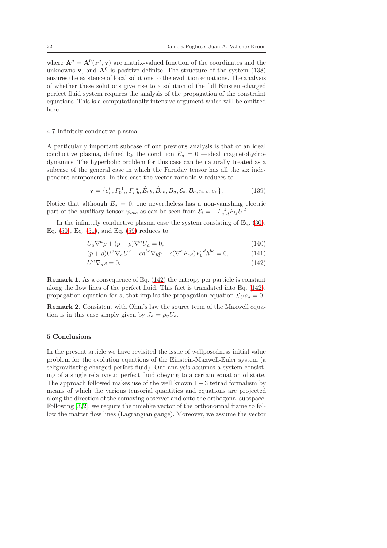where  $\mathbf{A}^{\mu} = \mathbf{A}^{0}(x^{\mu}, \mathbf{v})$  are matrix-valued function of the coordinates and the unknowns **v**, and  $\mathbf{A}^0$  is positive definite. The structure of the system [\(138\)](#page-20-0) ensures the existence of local solutions to the evolution equations. The analysis of whether these solutions give rise to a solution of the full Einstein-charged perfect fluid system requires the analysis of the propagation of the constraint equations. This is a computationally intensive argument which will be omitted here.

#### <span id="page-21-0"></span>4.7 Infinitely conductive plasma

A particularly important subcase of our previous analysis is that of an ideal conductive plasma, defined by the condition  $E_a = 0$  —ideal magnetohydrodynamics. The hyperbolic problem for this case can be naturally treated as a subcase of the general case in which the Faraday tensor has all the six independent components. In this case the vector variable v reduces to

$$
\mathbf{v} = \{e_i^{\mu}, \Gamma_0^0, \Gamma_i^a, \hat{E}_{ab}, \hat{B}_{ab}, B_a, \mathcal{E}_a, \mathcal{B}_a, n, s, s_a\}.
$$
 (139)

Notice that although  $E_a = 0$ , one nevertheless has a non-vanishing electric part of the auxiliary tensor  $\psi_{abc}$  as can be seen from  $\mathcal{E}_i = -\Gamma_{a}{}^{j}{}_{d}F_{ij}U^d$ .

In the infinitely conductive plasma case the system consisting of Eq. [\(30\)](#page-7-4), Eq. [\(50\)](#page-9-3), Eq. [\(51\)](#page-9-5), and Eq. [\(59\)](#page-10-1) reduces to

<span id="page-21-2"></span>
$$
U_a \nabla^a \rho + (p + \rho) \nabla^a U_a = 0, \qquad (140)
$$

$$
(p+\rho)U^a \nabla_a U^c - \epsilon h^{bc} \nabla_b p - \epsilon (\nabla^a F_{ad}) F_b^{\ d} h^{bc} = 0, \qquad (141)
$$

$$
U^a \nabla_a s = 0,\t\t(142)
$$

Remark 1. As a consequence of Eq. [\(142\)](#page-21-2) the entropy per particle is constant along the flow lines of the perfect fluid. This fact is translated into Eq. [\(142\)](#page-21-2), propagation equation for s, that implies the propagation equation  $\mathcal{L}_{USa} = 0$ .

Remark 2. Consistent with Ohm's law the source term of the Maxwell equation is in this case simply given by  $J_a = \rho_c U_a$ .

#### <span id="page-21-1"></span>5 Conclusions

In the present article we have revisited the issue of wellposedness initial value problem for the evolution equations of the Einstein-Maxwell-Euler system (a selfgravitating charged perfect fluid). Our analysis assumes a system consisting of a single relativistic perfect fluid obeying to a certain equation of state. The approach followed makes use of the well known  $1 + 3$  tetrad formalism by means of which the various tensorial quantities and equations are projected along the direction of the comoving observer and onto the orthogonal subspace. Following [\[3,](#page-23-2)[2\]](#page-23-1), we require the timelike vector of the orthonormal frame to follow the matter flow lines (Lagrangian gauge). Moreover, we assume the vector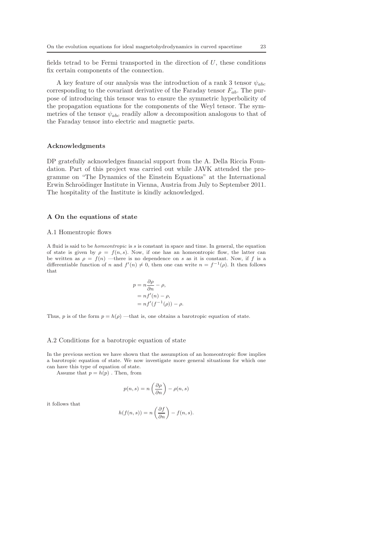fields tetrad to be Fermi transported in the direction of  $U$ , these conditions fix certain components of the connection.

A key feature of our analysis was the introduction of a rank 3 tensor  $\psi_{abc}$ corresponding to the covariant derivative of the Faraday tensor  $F_{ab}$ . The purpose of introducing this tensor was to ensure the symmetric hyperbolicity of the propagation equations for the components of the Weyl tensor. The symmetries of the tensor  $\psi_{abc}$  readily allow a decomposition analogous to that of the Faraday tensor into electric and magnetic parts.

#### Acknowledgments

DP gratefully acknowledges financial support from the A. Della Riccia Foundation. Part of this project was carried out while JAVK attended the programme on "The Dynamics of the Einstein Equations" at the International Erwin Schroödinger Institute in Vienna, Austria from July to September 2011. The hospitality of the Institute is kindly acknowledged.

#### <span id="page-22-0"></span>A On the equations of state

#### A.1 Homentropic flows

A fluid is said to be homeontropic is s is constant in space and time. In general, the equation of state is given by  $\rho = f(n, s)$ . Now, if one has an homeontropic flow, the latter can be written as  $\rho = f(n)$  —there is no dependence on s as it is constant. Now, if f is a differentiable function of n and  $f'(n) \neq 0$ , then one can write  $n = f^{-1}(\rho)$ . It then follows that

$$
p = n \frac{\partial \rho}{\partial n} - \rho,
$$
  
=  $nf'(n) - \rho,$   
=  $nf'(f^{-1}(\rho)) -$ 

 $\rho$ .

Thus, p is of the form  $p = h(\rho)$  —that is, one obtains a barotropic equation of state.

#### A.2 Conditions for a barotropic equation of state

In the previous section we have shown that the assumption of an homeontropic flow implies a barotropic equation of state. We now investigate more general situations for which one can have this type of equation of state.

Assume that  $p = h(p)$ . Then, from

$$
p(n,s) = n\left(\frac{\partial \rho}{\partial n}\right) - \rho(n,s)
$$

it follows that

$$
h(f(n, s)) = n\left(\frac{\partial f}{\partial n}\right) - f(n, s).
$$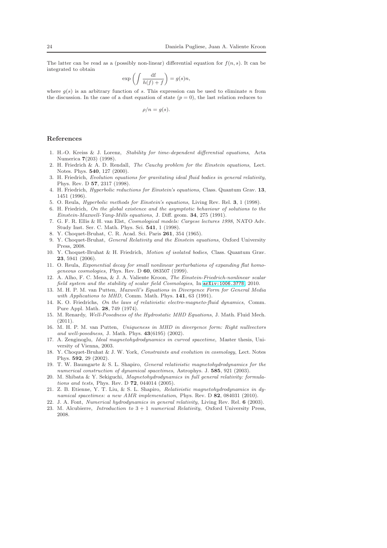The latter can be read as a (possibly non-linear) differential equation for  $f(n, s)$ . It can be integrated to obtain

$$
\exp\left(\int \frac{\mathrm{d}\mathbf{f}}{h(f)+f}\right)=g(s)n,
$$

where  $q(s)$  is an arbitrary function of s. This expression can be used to eliminate n from the discussion. In the case of a dust equation of state  $(p = 0)$ , the last relation reduces to

$$
\rho/n = g(s).
$$

#### References

- <span id="page-23-0"></span>1. H.-O. Kreiss & J. Lorenz, Stability for time-dependent differential equations, Acta Numerica 7(203) (1998).
- <span id="page-23-1"></span>2. H. Friedrich & A. D. Rendall, The Cauchy problem for the Einstein equations, Lect. Notes. Phys. 540, 127 (2000).
- <span id="page-23-2"></span>3. H. Friedrich, Evolution equations for gravitating ideal fluid bodies in general relativity, Phys. Rev. D 57, 2317 (1998).
- <span id="page-23-3"></span>4. H. Friedrich, Hyperbolic reductions for Einstein's equations, Class. Quantum Grav. 13, 1451 (1996).
- <span id="page-23-5"></span><span id="page-23-4"></span>5. O. Reula, Hyperbolic methods for Einstein's equations, Living Rev. Rel. 3, 1 (1998).
- 6. H. Friedrich, On the global existence and the asymptotic behaviour of solutions to the Einstein-Maxwell-Yang-Mills equations, J. Diff. geom. 34, 275 (1991).
- <span id="page-23-6"></span>7. G. F. R. Ellis & H. van Elst, Cosmological models: Cargese lectures 1998, NATO Adv. Study Inst. Ser. C. Math. Phys. Sci. 541, 1 (1998).
- <span id="page-23-8"></span><span id="page-23-7"></span>8. Y. Choquet-Bruhat, C. R. Acad. Sci. Paris 261, 354 (1965).
- 9. Y. Choquet-Bruhat, General Relativity and the Einstein equations, Oxford University Press, 2008.
- <span id="page-23-9"></span>10. Y. Choquet-Bruhat & H. Friedrich, Motion of isolated bodies, Class. Quantum Grav. 23, 5941 (2006).
- <span id="page-23-10"></span>11. O. Reula, Exponential decay for small nonlinear perturbations of expanding flat homogeneous cosmologies, Phys. Rev. D 60, 083507 (1999).
- <span id="page-23-11"></span>12. A. Alho, F. C. Mena, & J. A. Valiente Kroon, The Einstein-Friedrich-nonlinear scalar field system and the stability of scalar field Cosmologies, In [arXiv:1006.3778](http://arxiv.org/abs/1006.3778), 2010.
- <span id="page-23-12"></span>13. M. H. P. M. van Putten, Maxwell's Equations in Divergence Form for General Media with Applications to MHD, Comm. Math. Phys. 141, 63 (1991).
- <span id="page-23-13"></span>14. K. O. Friedrichs, On the laws of relativistic electro-magneto-fluid dynamics, Comm. Pure Appl. Math. 28, 749 (1974).
- <span id="page-23-14"></span>15. M. Renardy, Well-Posedness of the Hydrostatic MHD Equations, J. Math. Fluid Mech. (2011).
- <span id="page-23-15"></span>16. M. H. P. M. van Putten, Uniqueness in MHD in divergence form: Right nullvectors and well-posedness, J. Math. Phys. 43(6195) (2002).
- <span id="page-23-16"></span>17. A. Zenginoglu, Ideal magnetohydrodynamics in curved spacetime, Master thesis, University of Vienna, 2003.
- <span id="page-23-17"></span>18. Y. Choquet-Bruhat & J. W. York, Constraints and evolution in cosmology, Lect. Notes Phys. 592, 29 (2002).
- <span id="page-23-18"></span>19. T. W. Baumgarte & S. L. Shapiro, General relativistic magnetohydrodynamics for the numerical construction of dynamical spacetimes, Astrophys. J. 585, 921 (2003).
- <span id="page-23-19"></span>20. M. Shibata & Y. Sekiguchi, Magnetohydrodynamics in full general relativity: formulations and tests, Phys. Rev. D 72, 044014 (2005).
- <span id="page-23-20"></span>21. Z. B. Etienne, Y. T. Liu, & S. L. Shapiro, Relativistic magnetohydrodynamics in dynamical spacetimes: a new AMR implementation, Phys. Rev. D 82, 084031 (2010).
- <span id="page-23-22"></span><span id="page-23-21"></span>22. J. A. Font, Numerical hydrodynamics in general relativity, Living Rev. Rel. 6 (2003).
- 23. M. Alcubierre, *Introduction to*  $3 + 1$  *numerical Relativity*, Oxford University Press, 2008.